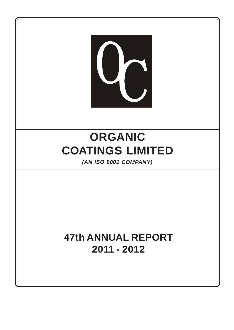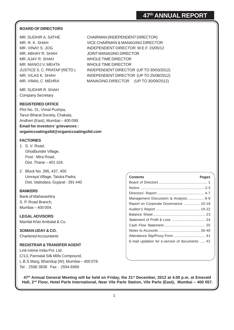## **BOARD OF DIRECTORS**

MR. SUDHIR A. SATHE CHAIRMAN (INDEPENDENT DIRECTOR) MR. R. K. SHAH VICE CHAIRMAN & MANAGING DIRECTOR MR. VINAY S. JOG INDEPENDENT DIRECTOR W.E.F. 15/05/12 MR. ABHAY R. SHAH JOINT MANAGING DIRECTOR MR. AJAY R. SHAH WHOLE TIME DIRECTOR MR. MANOJ V. MEHTA WHOLE TIME DIRECTOR JUSTICE S. C. PRATAP (RETD.) INDEPENDENT DIRECTOR (UP TO 30/03/2012) MR. VILAS K. SHAH INDEPENDENT DIRECTOR (UP TO 25/08/2012) MR. VIMAL C. MEHRA MANAGING DIRECTOR (UP TO 30/09/2012)

MR. SUDHIR R. SHAH Company Secretary

#### **REGISTERED OFFICE**

Plot No. 31, Vimal Pushpa, Tarun Bharat Society, Chakala, Andheri (East), Mumbai – 400 099. **Email for investors' grievances : organiccoatingsltd@organiccoatingsltd.com**

#### **FACTORIES**

- 1. S. V. Road, Ghodbunder Village, Post : Mira Road, Dist. Thane – 401 104.
- 2. Block No. 395, 437, 450 Umraya Village, Taluka Padra Dist. Vadodara, Gujarat - 391 440

#### **BANKERS**

Bank of Maharashtra S. P. Road Branch, Mumbai – 400 004.

**LEGAL ADVISORS** Manilal Kher Ambalal & Co.

**SOMAN UDAY & CO.** Chartered Accountants

#### **REGISTRAR & TRANSFER AGENT**

Link Intime India Pvt. Ltd. C/13, Pannalal Silk Mills Compound, L.B.S.Marg, Bhandup (W), Mumbai – 400 078. Tel : 2596 3838 Fax : 2594 6969

| <b>Contents</b>                                | <b>Pages</b> |
|------------------------------------------------|--------------|
|                                                |              |
|                                                |              |
|                                                |              |
| Management Discussion & Analysis 8-9           |              |
| Report on Corporate Governance  10-18          |              |
|                                                |              |
|                                                |              |
|                                                |              |
|                                                |              |
|                                                |              |
| Attendance Slip/Proxy Form  41                 |              |
| E-mail updation for e-service of documents  42 |              |

**47th Annual General Meeting will be held on Friday, the 21st December, 2012 at 4.00 p.m. at Emerald Hall, 2nd Floor, Hotel Parle International, Near Vile Parle Station, Vile Parle (East), Mumbai – 400 057.**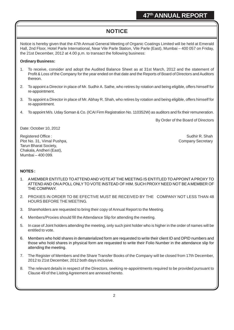# **NOTICE**

Notice is hereby given that the 47th Annual General Meeting of Organic Coatings Limited will be held at Emerald Hall, 2nd Floor, Hotel Parle International, Near Vile Parle Station, Vile Parle (East), Mumbai – 400 057 on Friday, the 21st December, 2012 at 4.00 p,m. to transact the following business:

#### **Ordinary Business:**

- 1. To receive, consider and adopt the Audited Balance Sheet as at 31st March, 2012 and the statement of Profit & Loss of the Company for the year ended on that date and the Reports of Board of Directors and Auditors thereon.
- 2. To appoint a Director in place of Mr. Sudhir A. Sathe, who retires by rotation and being eligible, offers himself for re-appointment.
- 3. To appoint a Director in place of Mr. Abhay R. Shah, who retires by rotation and being eligible, offers himself for re-appointment.
- 4. To appoint M/s. Uday Soman & Co. (ICAI Firm Registration No. 110352W) as auditors and fix their remuneration.

By Order of the Board of Directors

Date: October 10, 2012

Registered Office : Sudhir R. Shah Negistered Office : Sudhir R. Shah Negistered Office : Sudhir R. Shah Negistered Office : Plot No. 31, Vimal Pushpa, Company Secretary Company Secretary Company Secretary Tarun Bharat Society, Chakala, Andheri (East), Mumbai – 400 099.

## **NOTES :**

- 1. A MEMBER ENTITLED TO ATTEND AND VOTE AT THE MEETING IS ENTITLED TO APPOINT A PROXY TO ATTEND AND ON A POLL ONLY TO VOTE INSTEAD OF HIM. SUCH PROXY NEED NOT BE A MEMBER OF THE COMPANY.
- 2. PROXIES IN ORDER TO BE EFECTIVE MUST BE RECEIVED BY THE COMPANY NOT LESS THAN 48 HOURS BEFORE THE MEETING.
- 3. Shareholders are requested to bring their copy of Annual Report to the Meeting.
- 4. Members/Proxies should fill the Attendance Slip for attending the meeting.
- 5. In case of Joint holders attending the meeting, only such joint holder who is higher in the order of names will be entitled to vote.
- 6. Members who hold shares in dematerialized form are requested to write their client ID and DPID numbers and those who hold shares in physical form are requested to write their Folio Number in the attendance slip for attending the meeting.
- 7. The Register of Members and the Share Transfer Books of the Company will be closed from 17th December, 2012 to 21st December, 2012 both days inclusive.
- 8. The relevant details in respect of the Directors, seeking re-appointments required to be provided pursuant to Clause 49 of the Listing Agreement are annexed hereto.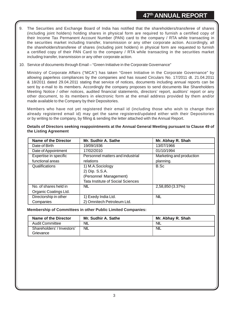- 9. The Securities and Exchange Board of India has notified that the shareholders/transferee of shares (including joint holders) holding shares in physical form are required to furnish a certified copy of their Income Tax Permanent Account Number (PAN) card to the company / RTA while transacting in the securities market including transfer, transmission or any other corporate action. Accordingly, all the shareholders/transferee of shares (including joint holders) in physical form are requested to furnish a certified copy of their PAN Card to the company / RTA while transacting in the securities market including transfer, transmission or any other corporate action.
- 10. Service of documents through Email "Green Initiative in the Corporate Governance"

Ministry of Corporate Affairs ("MCA") has taken "Green Initiative in the Corporate Governance" by allowing paperless compliances by the companies and has issued Circulars No. 17/2011 dt. 21.04.2011 & 18/2011 dated 29.04.2011 stating that service of notices, documents including annual reports can be sent by e-mail to its members. Accordingly the company proposes to send documents like Shareholders Meeting Notice / other notices, audited financial statements, directors' report, auditors' report or any other document, to its members in electronic form at the email address provided by them and/or made available to the Company by their Depositories.

Members who have not yet registered their email id (including those who wish to change their already registered email id) may get the same registered/updated either with their Depositories or by writing to the company, by filling & sending the letter attached with the Annual Report.

| Name of the Director  | Mr. Sudhir A. Sathe               | Mr. Abhay R. Shah        |
|-----------------------|-----------------------------------|--------------------------|
| Date of Birth         | 19/09/1936                        | 13/07/1966               |
| Date of Appointment   | 17/02/2010                        | 01/10/1994               |
| Expertise in specific | Personnel matters and industrial  | Marketing and production |
| functional areas      | relations                         | planning.                |
| Qualifications        | 1) M.A.Sociology                  | B.Sc                     |
|                       | 2) Dip. S.S.A.                    |                          |
|                       | (Personnel Management)            |                          |
|                       | Tata Institute of Social Sciences |                          |
| No. of shares held in | <b>NIL</b>                        | 2,58,850 (3.37%)         |
| Organic Coatings Ltd. |                                   |                          |
| Directorship in other | 1) Exedy India Ltd.               | NIL                      |
| Companies             | 2) Omnitech Petroleum Ltd.        |                          |

**Details of Directors seeking reappointments at the Annual General Meeting pursuant to Clause 49 of the Listing Agreement**

**Membership of Committees in other Public Limited Companies:**

| Name of the Director       | Mr. Sudhir A. Sathe | Mr. Abhay R. Shah |
|----------------------------|---------------------|-------------------|
| Audit Committee            | <b>NIL</b>          | <b>NIL</b>        |
| Shareholders' / Investors' | <b>NIL</b>          | <b>NIL</b>        |
| Grievance                  |                     |                   |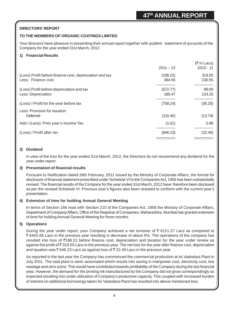## **DIRECTORS' REPORT**

## **TO THE MEMBERS OF ORGANIC COATINGS LIMITED**

Your directors have pleasure in presenting their annual report together with audited statement of accounts of the Company for the year ended 31st March, 2012.

#### **1) Financial Results**

|                                                                               | $2011 - 12$                          | (₹ In Lacs)<br>$2010 - 11$        |
|-------------------------------------------------------------------------------|--------------------------------------|-----------------------------------|
| (Loss) Profit before finance cost, depreciation and tax<br>Less: Finance cost | (188.22)<br>384.55<br>-----------    | 319.55<br>230.55<br>------------- |
| (Loss) Profit before depreciation and tax<br>Less: Depreciation               | (572.77)<br>185.47<br>-------------- | 89.00<br>124.25<br>-------------- |
| (Loss) / Profit for the year before tax                                       | (758.24)                             | (35.25)                           |
| Less: Provision for taxation<br>Deferred                                      | (110.40)                             | (13.74)                           |
| Add / (Less): Prior year's Income Tax                                         | (1.61)                               | 0.98.                             |
| (Loss) / Profit after tax                                                     | ----------<br>(646.23)               | (22.49)                           |

#### **2) Dividend**

In view of the loss for the year ended 31st March, 2012, the Directors do not recommend any dividend for the year under report.

#### **3) Presentation of financial results**

Pursuant to Notification dated 28th February, 2011 issued by the Ministry of Corporate Affairs, the format for disclosure of financial statement prescribed under Schedule VI to the Companies Act, 1956 has been substantially revised. The financial results of the Company for the year ended 31st March, 2012 have therefore been disclosed as per the revised Schedule VI. Previous year's figures also been restated to conform with the current year's presentation.

#### **4) Extension of time for holding Annual General Meeting**

In terms of Section 166 read with Section 210 of the Companies Act, 1956 the Ministry of Corporate Affairs, Department of Company Affairs, Office of the Registrar of Companies, Maharashtra, Mumbai has granted extension of time for holding Annual General Meeting for three months.

#### **5) Operations**

During the year under report, your Company achieved a net turnover of  $\bar{\tau}$  6121.27 Lacs as compared to ` 6442.68 Lacs in the previous year resulting in decrease of about 5%. The operations of the company has resulted into loss of ₹188.22 before finance cost, depreciation and taxation for the year under review as against the profit of ` 319.55 Lacs in the previous year. The net loss for the year after finance cost, depreciation and taxation was  $\bar{\tau}$  646.23 Lacs as against loss of  $\bar{\tau}$  22.49 Lacs in the previous year.

As reported in the last year the Company has commenced the commercial production at its Vadodara Plant in July 2011. The said plant is semi–automated which results into saving in manpower cost, electricity cost, low wastage and zero octroi. This would have contributed towards profitability of the Company during the last financial year. However, the demand for the printing ink manufactured by the Company did not grow correspondingly as expected resulting into under utilization of Company's productive capacity. This coupled with increased burden of interest on additional borrowings taken for Vadodara Plant has resulted into above mentioned loss.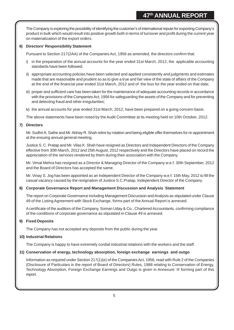The Company is exploring the possibility of identifying the customer's of international repute for exporting Company's product in bulk which would result into positive growth both in terms of turnover and profit during the current year on materialization of the export orders.

#### **6) Directors' Responsibility Statement**

Pursuant to Section 217(2AA) of the Companies Act, 1956 as amended, the directors confirm that:

- i) in the preparation of the annual accounts for the year ended 31st March, 2012, the applicable accounting standards have been followed;
- ii) appropriate accounting policies have been selected and applied consistently and judgments and estimates made that are reasonable and prudent so as to give a true and fair view of the state of affairs of the Company at the end of the financial year ended 31st March, 2012 and of the loss for the year ended on that date;
- iii) proper and sufficient care has been taken for the maintenance of adequate accounting records in accordance with the provisions of the Companies Act, 1956 for safeguarding the assets of the Company and for preventing and detecting fraud and other irregularities;
- iv) the annual accounts for year ended 31st March, 2012, have been prepared on a going concern basis.

The above statements have been noted by the Audit Committee at its meeting held on 10th October, 2012.

#### **7) Directors**

Mr. Sudhir A. Sathe and Mr. Abhay R. Shah retire by rotation and being eligible offer themselves for re-appointment at the ensuing annual general meeting.

Justice S. C. Pratap and Mr. Vilas K. Shah have resigned as Directors and Independent Directors of the Company effective from 30th March, 2012 and 25th August, 2012 respectively and the Directors have placed on record the appreciation of the services rendered by them during their association with the Company.

Mr. Vimal Mehra has resigned as a Director & Managing Director of the Company w.e.f. 30th September, 2012 and the Board of Directors has accepted the same.

Mr. Vinay S. Jog has been appointed as an Independent Director of the Company w.e.f. 15th May, 2012 to fill the casual vacancy caused by the resignation of Justice S.C.Pratap, Independent Director of the Company.

## **8) Corporate Governance Report and Management Discussion and Analysis Statement**

The report on Corporate Governance including Management Discussion and Analysis as stipulated under Clause 49 of the Listing Agreement with Stock Exchange, forms part of the Annual Report is annexed.

A certificate of the auditors of the Company, Soman Uday & Co., Chartered Accountants, confirming compliance of the conditions of corporate governance as stipulated in Clause 49 is annexed.

## **9) Fixed Deposits**

The Company has not accepted any deposits from the public during the year.

#### **10) Industrial Relations**

The Company is happy to have extremely cordial industrial relations with the workers and the staff.

#### **11) Conservation of energy, technology absorption, foreign exchange earnings and outgo**

Information as required under Section 217(1)(e) of the Companies Act, 1956, read with Rule 2 of the Companies (Disclosure of Particulars in the report of Board of Directors) Rules, 1988 relating to Conservation of Energy, Technology Absorption, Foreign Exchange Earnings and Outgo is given in Annexure 'A' forming part of this report.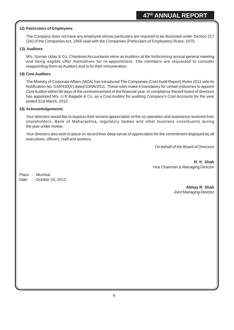#### **12) Particulars of Employees**

The Company does not have any employee whose particulars are required to be disclosed under Section 217 (2A) of the Companies Act, 1956 read with the Companies (Particulars of Employees) Rules, 1975.

#### **13) Auditors**

M/s. Soman Uday & Co, Chartered Accountants retire as Auditors at the forthcoming annual general meeting and being eligible offer themselves for re-appointment. The members are requested to consider reappointing them as Auditors and to fix their remuneration.

#### **14) Cost Auditors**

The Ministry of Corporate Affairs (MCA) has introduced The Companies (Cost Audit Report) Rules 2011 vide its Notification No. GSR430(E) dated 03/06/2011. These rules make it mandatory for certain industries to appoint Cost Auditor within 90 days of the commencement of the financial year. In compliance thereof board of directors has appointed M/s. U.R.Bagade & Co. as a Cost Auditor for auditing Company's Cost Accounts for the year ended 31st March, 2012.

#### **15) Acknowledgements**

Your directors would like to express their sincere appreciation of the co-operation and assistance received from shareholders, Bank of Maharashtra, regulatory bodies and other business constituents during the year under review.

Your directors also wish to place on record their deep sense of appreciation for the commitment displayed by all executives, officers, staff and workers.

On behalf of the Board of Directors

**R. K. Shah** Vice Chairman & Managing Director

Place : Mumbai Date : October 10, 2012

> **Abhay R. Shah** Joint Managing Director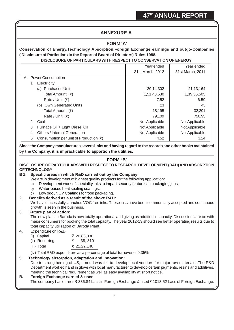# **ANNEXURE A**

## **FORM 'A'**

**Conservation of Energy,Technology Absorption,Foreign Exchange earnings and outgo-Companies ( Disclosure of Particulars in the Report of Board of Directors) Rules,1988.**

## **DISCLOSURE OF PARTICULARS WITH RESPECT TO CONSERVATION OF ENERGY:**

|                                                         | Year ended       | Year ended       |
|---------------------------------------------------------|------------------|------------------|
|                                                         | 31st March, 2012 | 31st March, 2011 |
| A. Power Consumption                                    |                  |                  |
| Electricity                                             |                  |                  |
| <b>Purchased Unit</b><br>(a)                            | 20,14,302        | 21, 13, 164      |
| Total Amount (₹)                                        | 1,51,43,530      | 1,39,36,505      |
| Rate / Unit (₹)                                         | 7.52             | 6.59             |
| (b) Own Generated Units                                 | 23               | 43               |
| Total Amount (₹)                                        | 18,195           | 32,291           |
| Rate / Unit $(3)$                                       | 791.09           | 750.95           |
| 2<br>Coal                                               | Not Applicable   | Not Applicable   |
| 3<br>Furnace Oil + Light Diesel Oil                     | Not Applicable   | Not Applicable   |
| <b>Others / Internal Generation</b><br>4                | Not Applicable   | Not Applicable   |
| 5<br>Consumption per unit of Production $(\bar{\zeta})$ | 4.52             | 3.24             |

**Since the Company manufactures several inks and having regard to the records and other books maintained by the Company, it is impracticable to apportion the utilities.**

#### **FORM 'B'**

#### **DISCLOSURE OF PARTICULARS WITH RESPECT TO RESEARCH, DEVELOPMENT (R&D) AND ABSORPTION OF TECHNOLOGY**

#### **B 1. Specific areas in which R&D carried out by the Company:**

We are in development of highest quality products for the following application:

- a) Development work of speciality inks to impart security features in packaging jobs.
- b) Water-based heat sealing coatings.
- c) Low odour. UV Coatings for food packaging.
- **2. Benefits derived as a result of the above R&D:**

We have sucessfully launched VOC free inks. These inks have been commercially accepted and continuous growth is seen in the business.

## **3. Future plan of action:**

The new plant in Baroda is now totally operational and giving us additional capacity. Discussions are on with major consumers for booking the total capacity. The year 2012-13 should see better operating results due to total capacity utilization of Baroda Plant.

#### 4. Expenditure on R&D

| (i) Capital    | ₹ 20,83,330 |
|----------------|-------------|
| (ii) Recurring | रू 38,810   |
| (iii) Total    | ₹ 21,22,140 |

(iv) Total R&D expenditure as a percentage of total turnover of 0.35%

#### **5. Technology absorption, adaptation and innovation:**

Due to strengthening of US, a need was felt to develop local vendors for major raw materials. The R&D Department worked hand in glove with local manufacturer to develop certain pigments, resins and additives, meeting the technical requirement as well as easy availability at short notice.

#### **B. Foreign Exchange earned & used**

The company has earned  $\bar{\tau}$  336.84 Lacs in Foreign Exchange & used  $\bar{\tau}$  1013.52 Lacs of Foreign Exchange.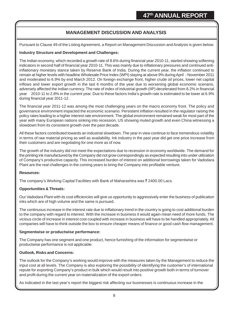# **MANAGEMENT DISCUSSION AND ANALYSIS**

Pursuant to Clause 49 of the Listing Agreement, a Report on Management Discussion and Analysis is given below:

## **Industry Structure and Development and Challenges:**

The Indian economy, which recorded a growth rate of 8.6% during financial year 2010-11, started showing softening indicators in second half of financial year 2010-11. This was mainly due to inflationary pressures and continued antiinflationary monetary stance taken by Reserve Bank of India. During the current year, the inflation continued to remain at higher levels with headline Wholesale Price Index (WPI) staying at above 9% during April - November 2011 and moderated to 6.9% by end March 2012. On foreign exchange front, higher crude oil prices, lower net capital inflows and lower export growth in the last 6 months of the year due to worsening global economic scenario, adversely affected the Indian currency. The rate of index of industrial growth (IIP) decelerated from 8.2% in financial year 2010-11 to 2.8% in the current year. Due to these factors India's growth rate is estimated to be lower at 6.9% during financial year 2011-12.

The financial year 2011-12 was among the most challenging years on the macro economy front. The policy and governance environment impacted the economic scenario. Persistent inflation resulted in the regulator raising the policy rates leading to a higher interest rate environment. The global environment remained weak for most part of the year with many European nations sinking into recession, US showing muted growth and even China witnessing a slowdown from its consistent growth over the past decade.

All these factors contributed towards an industrial slowdown. The year in view continue to face tremendous volatility in terms of raw material pricing as well as availability. Ink industry in the past year did get one price increase from their customers and are negotiating for one more as of now.

The growth of the industry did not meet the expectations due to recession in economy worldwide. The demand for the printing ink manufactured by the Company did not grow correspondingly as expected resulting into under utilization of Company's productive capacity. This increased burden of interest on additional borrowings taken for Vadodara Plant are the real challenges in the coming years to bring the Company into profitable venture.

#### **Resources:**

The company's Working Capital Facilities with Bank of Maharashtra was  $\bar{\tau}$  2400.00 Lacs.

## **Opportunities & Threats:**

Our Vadodara Plant with its cost efficiencies will give us opportunity to aggressively enter the business of publication inks which are of high volume and the same is pursued.

The continuous increase in the interest rate due to inflationary trend in the country is going to cost additional burden to the company with regard to interest. With the increase in business it would again mean need of more funds. The vicious circle of increase in interest cost coupled with increase in business will have to be handled appropriately. All companies will have to think outside the box to ensure cheaper means of finance or good cash flow management.

#### **Segmentwise or productwise performance:**

The Company has one segment and one product, hence furnishing of the information for segmentwise or productwise performance is not applicable.

## **Outlook, Risks and Concerns:**

The outlook for the Company's working would improve with the measures taken by the Management to reduce the input cost at all levels. The Company is also exploring the possibility of identifying the customer's of international repute for exporting Company's product in bulk which would result into positive growth both in terms of turnover and profit during the current year on materialization of the export orders.

As indicated in the last year's report the biggest risk affecting our businesses is continuous increase in the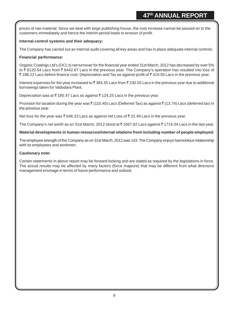prices of raw material. Since we deal with large publishing house, the cost increase cannot be passed on to the customers immediately and hence the interim period leads to erosion of profit.

#### **Internal control systems and their adequacy:**

The Company has carried out an internal audit covering all key areas and has in place adequate internal controls.

#### **Financial performance:**

Organic Coatings Ltd's (OCL's) net turnover for the financial year ended 31st March, 2012 has decreased by over 5% to ₹6120.54 Lacs from ₹6442.67 Lacs in the previous year. The Company's operation has resulted into loss of ₹ 188.22 Lacs before finance cost, Depreciation and Tax as against profit of ₹ 319.55 Lacs in the previous year.

Interest expenses for the year increased to  $\bar{\tau}$  384.55 Lacs from  $\bar{\tau}$  230.55 Lacs in the previous year due to additional borrowings taken for Vadodara Plant.

Depreciation was at  $\bar{\tau}$  185.47 Lacs as against  $\bar{\tau}$  124.25 Lacs in the previous year.

Provision for taxation during the year was  $\bar{\tau}$  (110.40) Lacs (Deferred Tax) as against  $\bar{\tau}$  (13.74) Lacs (deferred tax) in the previous year.

Net loss for the year was  $\bar{\tau}$  646.23 Lacs as against net Loss of  $\bar{\tau}$  22.49 Lacs in the previous year.

The Company's net worth as on 31st March, 2012 stood at  $\bar{\tau}$  1067.82 Lacs against  $\bar{\tau}$  1714.04 Lacs in the last year.

#### **Material developments in human resources/internal relations front including number of people employed:**

The employee strength of the Company as on 31st March, 2012 was 143. The Company enjoys harmonious relationship with its employees and workmen.

#### **Cautionary note:**

Certain statements in above report may be forward looking and are stated as required by the legislations in force. The actual results may be affected by many factors (force majeure) that may be different from what directors/ management envisage in terms of future performance and outlook.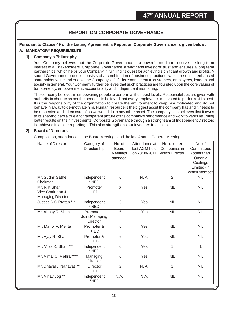# **REPORT ON CORPORATE GOVERNANCE**

**Pursuant to Clause 49 of the Listing Agreement, a Report on Corporate Governance is given below:**

## **A. MANDATORY REQUIREMENTS**

#### **1) Company's Philosophy**

Your Company believes that the Corporate Governance is a powerful medium to serve the long term interest of all stakeholders. Corporate Governance strengthens investors' trust and ensures a long term partnerships, which helps your Company in fulfilling its quest for achieving significant growth and profits. A sound Governance process consists of a combination of business practices, which results in enhanced shareholder value and enable the Company to fulfill its commitment to customers, employees, lenders and society in general. Your Company further believes that such practices are founded upon the core values of transparency, empowerment, accountability and independent monitoring.

The company believes in empowering people to perform at their best levels. Responsibilities are given with authority to change as per the needs. It is believed that every employee is motivated to perform at its best. It is the responsibility of the organization to create the environment to keep him motivated and do not behave in a way to de-motivate him. Human resource is the biggest asset the company has and it needs to be respected and taken care of as we would do to any other asset. The company also believes that it owes to its shareholders a true and transparent picture of the company's performance and work towards returning better results on their investments. Corporate Governance through a strong team of Independent Directors is achieved in all our reportings. This also strengthens our investors trust in us.

#### **2) Board of Directors**

Composition, attendance at the Board Meetings and the last Annual General Meeting :

| Name of Director                                            | Category of<br>Directorship                     | No. of<br><b>Board</b><br>Meetings<br>attended | Attendance at<br>last AGM held<br>on 28/09/2011 | No. of other<br>Companies in<br>which Director | No. of<br>Committees<br>(other than<br>Organic<br>Coatings<br>Limited) in<br>which member |
|-------------------------------------------------------------|-------------------------------------------------|------------------------------------------------|-------------------------------------------------|------------------------------------------------|-------------------------------------------------------------------------------------------|
| Mr. Sudhir Sathe<br>Chairman                                | Independent<br>* NED                            | $6\overline{6}$                                | N. A.                                           | $\overline{2}$                                 | <b>NIL</b>                                                                                |
| Mr. R.K.Shah<br>Vice Chairman &<br><b>Managing Director</b> | Promoter<br>$+$ ED                              | $\overline{6}$                                 | Yes                                             | <b>NIL</b>                                     | NIL                                                                                       |
| Justice S.C.Pratap***                                       | Independent<br>* NED                            | $\overline{5}$                                 | Yes                                             | <b>NIL</b>                                     | NIL                                                                                       |
| Mr. Abhay R. Shah                                           | Promoter +<br>Joint Managing<br><b>Director</b> | $\overline{5}$                                 | <b>Yes</b>                                      | <b>NIL</b>                                     | <b>NIL</b>                                                                                |
| Mr. Manoj V. Mehta                                          | Promoter &<br>$+$ ED                            | $\overline{6}$                                 | <b>Yes</b>                                      | <b>NIL</b>                                     | <b>NIL</b>                                                                                |
| Mr. Ajay R. Shah                                            | Promoter &<br>$+$ ED                            | $\overline{6}$                                 | Yes                                             | NIL                                            | <b>NIL</b>                                                                                |
| Mr. Vilas K. Shah ***                                       | Independent<br>* NED                            | 6                                              | Yes                                             | 1                                              | 1                                                                                         |
| Mr. Vimal C. Mehra ****                                     | Managing<br><b>Director</b>                     | $\overline{6}$                                 | <b>Yes</b>                                      | NIL                                            | NIL                                                                                       |
| Mr. Dhaval J. Nanavati **                                   | <b>Director</b><br>$+$ ED                       | $\overline{2}$                                 | N. A.                                           | 1                                              | <b>NIL</b>                                                                                |
| Mr. Vinay Jog **                                            | Independent<br>*NED                             | N.A.                                           | N.A.                                            | <b>NIL</b>                                     | <b>NIL</b>                                                                                |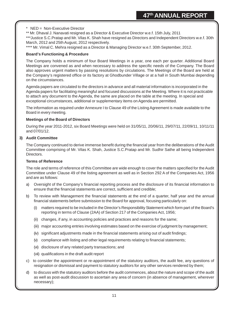#### $NED = Non-Executive Director$

\*\* Mr. Dhaval J. Nanavati resigned as a Director & Executive Director w.e.f. 15th July, 2011

\*\*\*Justice S.C.Pratap and Mr. Vilas K. Shah have resigned as Directors and Independent Directors w.e.f. 30th March, 2012 and 25th August, 2012 respectively.

\*\*\*\* Mr. Vimal C. Mehra resigned as a Director & Managing Director w.e.f. 30th September, 2012.

#### **Board's Functioning & Procedure**

The Company holds a minimum of four Board Meetings in a year, one each per quarter. Additional Board Meetings are convened as and when necessary to address the specific needs of the Company. The Board also approves urgent matters by passing resolutions by circulations. The Meetings of the Board are held at the Company's registered office or its factory at Ghodbunder Village or at a hall in South Mumbai depending on the circumstances.

Agenda papers are circulated to the directors in advance and all material information is incorporated in the Agenda papers for facilitating meaningful and focused discussions at the Meeting. Where it is not practicable to attach any document to the Agenda, the same are placed on the table at the meeting. In special and exceptional circumstances, additional or supplementary items on Agenda are permitted.

The information as required under Annexure I to Clause 49 of the Listing Agreement is made available to the Board in every meeting.

#### **Meetings of the Board of Directors**

During the year 2011-2012, six Board Meetings were held on 31/05/11, 20/06/11, 29/07/11, 22/09/11, 10/11/11 and 07/01/12.

#### **3) Audit Committee**

The Company continued to derive immense benefit during the financial year from the deliberations of the Audit Committee comprising of Mr. Vilas K. Shah, Justice S.C.Pratap and Mr. Sudhir Sathe all being Independent **Directors** 

#### **Terms of Reference**

The role and terms of reference of this Committee are wide enough to cover the matters specified for the Audit Committee under Clause 49 of the listing agreement as well as in Section 292 A of the Companies Act, 1956 and are as follows:

- a) Oversight of the Company's financial reporting process and the disclosure of its financial information to ensure that the financial statements are correct, sufficient and credible;
- b) To review with Management the financial statements at the end of a quarter, half year and the annual financial statements before submission to the Board for approval, focusing particularly on:
	- (i) matters required to be included in the Director's Responsibility Statement which form part of the Board's reporting in terms of Clause (2AA) of Section 217 of the Companies Act, 1956;
	- (ii) changes, if any, in accounting policies and practices and reasons for the same;
	- (iii) major accounting entries involving estimates based on the exercise of judgment by management;
	- (iv) significant adjustments made in the financial statements arising out of audit findings;
	- (v) compliance with listing and other legal requirements relating to financial statements;
	- (vi) disclosure of any related party transactions; and
	- (vii) qualifications in the draft audit report
- c) to consider the appointment or re-appointment of the statutory auditors, the audit fee, any questions of resignation or dismissal and payment to statutory auditors for any other services rendered by them;
- d) to discuss with the statutory auditors before the audit commences, about the nature and scope of the audit as well as post-audit discussion to ascertain any area of concern (in absence of management, wherever necessary);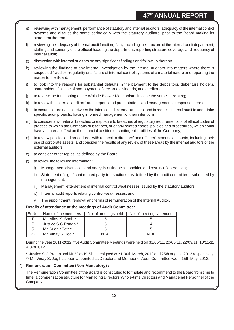- e) reviewing with management, performance of statutory and internal auditors, adequacy of the internal control systems and discuss the same periodically with the statutory auditors, prior to the Board making its statement thereon;
- f) reviewing the adequacy of internal audit function, if any, including the structure of the internal audit department, staffing and seniority of the official heading the department, reporting structure coverage and frequency of internal audit;
- g) discussion with internal auditors on any significant findings and follow up thereon.
- h) reviewing the findings of any internal investigation by the internal auditors into matters where there is suspected fraud or irregularity or a failure of internal control systems of a material nature and reporting the matter to the Board;
- i) to look into the reasons for substantial defaults in the payment to the depositors, debenture holders, shareholders (in case of non-payment of declared dividends) and creditors;
- j) to review the functioning of the Whistle Blower Mechanism, in case the same is existing;
- k) to review the external auditors' audit reports and presentations and management's response thereto;
- l) to ensure co-ordination between the internal and external auditors, and to request internal audit to undertake specific audit projects, having informed management of their intentions;
- m) to consider any material breaches or exposure to breaches of regulatory requirements or of ethical codes of practice to which the Company subscribes, or of any related codes, policies and procedures, which could have a material effect on the financial position or contingent liabilities of the Company;
- n) to review policies and procedures with respect to directors' and officers' expense accounts, including their use of corporate assets, and consider the results of any review of these areas by the internal auditors or the external auditors;
- o) to consider other topics, as defined by the Board;
- p) to review the following information :
	- i) Management discussion and analysis of financial condition and results of operations;
	- ii) Statement of significant related party transactions (as defined by the audit committee), submitted by management;
	- iii) Management letter/letters of internal control weaknesses issued by the statutory auditors;
	- iv) Internal audit reports relating control weaknesses; and
	- v) The appointment, removal and terms of remuneration of the Internal Auditor.

## **Details of attendance at the meetings of Audit Committee:**

| l Sr.No. | Name of the members   | No. of meetings held | No. of meetings attended |
|----------|-----------------------|----------------------|--------------------------|
|          | Mr. Vilas K. Shah *   |                      |                          |
|          | Justice S.C. Pratap * |                      |                          |
| 3)       | Mr. Sudhir Sathe      |                      |                          |
|          | Mr. Vinay S. Jog **   | ΝA                   | ΝA                       |

During the year 2011-2012, five Audit Committee Meetings were held on 31/05/11, 20/06/11, 22/09/11, 10/11/11 & 07/01/12.

\* Justice S.C.Pratap and Mr. Vilas K. Shah resigned w.e.f. 30th March, 2012 and 25th August, 2012 respectively. \*\* Mr. Vinay S. Jog has been appointed as Director and Member of Audit Committee w.e.f. 15th May, 2012.

## **4) Remuneration Committee (Non-Mandatory) :**

The Remuneration Committee of the Board is constituted to formulate and recommend to the Board from time to time, a compensation structure for Managing Directors/Whole-time Directors and Managerial Personnel of the Company.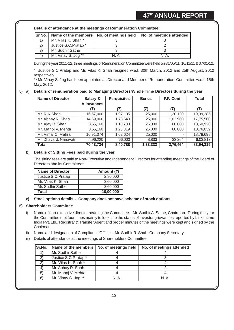**Details of attendance at the meetings of Remuneration Committee:**

| Sr.No.           | Name of the members   No. of meetings held | No. of meetings attended |
|------------------|--------------------------------------------|--------------------------|
|                  | Mr. Vilas K. Shah *                        |                          |
|                  | Justice S.C. Pratap *                      |                          |
| $\left(3\right)$ | Mr. Sudhir Sathe                           |                          |
|                  | Mr. Vinay S. Jog **                        | NΑ                       |

During the year 2011-12, three meetings of Remuneration Committee were held on 31/05/11, 10/11/11 & 07/01/12.

\* Justice S.C.Pratap and Mr. Vilas K. Shah resigned w.e.f. 30th March, 2012 and 25th August, 2012 respectively.

\*\* Mr. Vinay S. Jog has been appointed as Director and Member of Remuneration Committee w.e.f. 15th May, 2012.

#### **5) a) Details of remuneration paid to Managing Directors/Whole Time Directors during the year**

| <b>Name of Director</b> | Salary &<br><b>Allowances</b> | <b>Perquisites</b> | <b>Bonus</b> | P.F. Cont. | <b>Total</b> |
|-------------------------|-------------------------------|--------------------|--------------|------------|--------------|
|                         | (₹)                           | (₹)                | (₹)          | (₹)        | (₹)          |
| Mr. R.K.Shah            | 16,57,060                     | 1,97,105           | 25,000       | 1,20,120   | 19,99,285    |
| Mr. Abhay R. Shah       | 14,69,060                     | 1,78,540           | 25,000       | 1,02,960   | 17,75,560    |
| Mr. Ajay R. Shah        | 8,65,160                      | 1,10,700           | 25,000       | 60,060     | 10,60,920    |
| Mr. Manoj V. Mehta      | 8,65,160                      | 1,25,819           | 25,000       | 60,060     | 10,76,039    |
| Mr. Vimal C. Mehra      | 16,91,074                     | 1,62,624           | 25,000       | ۰          | 18,78,698    |
| Mr. Dhaval J. Nanavati  | 4,96,220                      | 66,000             | 8,833        | 33,264     | 6,03,817     |
| <b>Total</b>            | 70,43,734                     | 8,40,788           | 1,33,333     | 3,76,464   | 83,94,319    |

#### **b) Details of Sitting Fees paid during the year**

The sitting fees are paid to Non-Executive and Independent Directors for attending meetings of the Board of Directors and its Committees:

| <b>Name of Director</b> | Amount (र) |
|-------------------------|------------|
| Justice S.C. Pratap     | 2,80,000   |
| Mr. Vilas K. Shah       | 3,60,000   |
| Mr. Sudhir Sathe        | 3,60,000   |
| Total                   | 10,00,000  |

#### **c) Stock options details - Company does not have scheme of stock options.**

#### **6) Shareholders Committee**

- i) Name of non-executive director heading the Committee Mr. Sudhir A. Sathe, Chairman. During the year the Committee met four times mainly to look into the status of investor grievances reported by Link Intime India Pvt. Ltd., Registrar & Transfer Agent and proper minutes of the meetings were kept and signed by the Chairman.
- ii) Name and designation of Compliance Officer Mr. Sudhir R. Shah, Company Secretary
- iii) Details of attendance at the meetings of Shareholders Committee :

| Sr.No.  | Name of the members  | No. of meetings held | No. of meetings attended |
|---------|----------------------|----------------------|--------------------------|
|         | Mr. Sudhir Sathe     |                      |                          |
|         | Justice S.C. Pratap* |                      |                          |
| 3)      | Mr. Vilas K. Shah *  |                      |                          |
| $\vert$ | Mr. Abhay R. Shah    |                      |                          |
| 5)      | Mr. Manoj V. Mehta   |                      |                          |
| 6)      | Mr. Vinay S. Jog **  | NA                   | N A                      |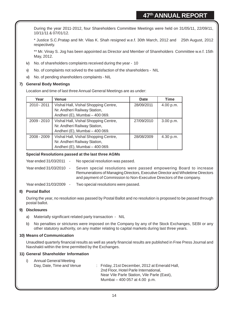During the year 2011-2012, four Shareholders Committee Meetings were held on 31/05/11, 22/09/11, 10/11/11 & 07/01/12.

\* Justice S.C.Pratap and Mr. Vilas K. Shah resigned w.e.f. 30th March, 2012 and 25th August, 2012 respectively.

\*\* Mr. Vinay S. Jog has been appointed as Director and Member of Shareholders Committee w.e.f. 15th May, 2012.

- iv) No. of shareholders complaints received during the year 10
- v) No. of complaints not solved to the satisfaction of the shareholders NIL
- vi) No. of pending shareholders complaints NIL

## **7) General Body Meetings**

Location and time of last three Annual General Meetings are as under:

| Year          | <b>Venue</b>                         | Date       | Time      |
|---------------|--------------------------------------|------------|-----------|
| $2010 - 2011$ | Vishal Hall, Vishal Shopping Centre, | 28/09/2011 | 4.00 p.m. |
|               | Nr. Andheri Railway Station,         |            |           |
|               | Andheri (E), Mumbai - 400 069.       |            |           |
| 2009 - 2010   | Vishal Hall, Vishal Shopping Centre, | 27/09/2010 | 3.00 p.m. |
|               | Nr. Andheri Railway Station,         |            |           |
|               | Andheri (E), Mumbai - 400 069.       |            |           |
| $2008 - 2009$ | Vishal Hall, Vishal Shopping Centre, | 28/08/2009 | 4.30 p.m. |
|               | Nr. Andheri Railway Station,         |            |           |
|               | Andheri (E), Mumbai - 400 069.       |            |           |

#### **Special Resolutions passed at the last three AGMs**

Year ended 31/03/2011 - No special resolution was passed.

Year ended 31/03/2010 - Seven special resolutions were passed empowering Board to increase Remunerations of Managing Directors, Executive Director and Wholetime Directors and payment of Commission to Non-Executive Directors of the company.

Year ended 31/03/2009 - Two special resolutions were passed.

## **8) Postal Ballot**

During the year, no resolution was passed by Postal Ballot and no resolution is proposed to be passed through postal ballot.

#### **9) Disclosures**

- a) Materially significant related party transaction NIL
- b) No penalties or strictures were imposed on the Company by any of the Stock Exchanges, SEBI or any other statutory authority, on any matter relating to capital markets during last three years.

#### **10) Means of Communication**

Unaudited quarterly financial results as well as yearly financial results are published in Free Press Journal and Navshakti within the time permitted by the Exchanges.

#### **11) General Shareholder Information**

| Annual General Meeting<br>Day, Date, Time and Venue | : Friday, 21st December, 2012 at Emerald Hall,<br>2nd Floor, Hotel Parle International,<br>Near Vile Parle Station, Vile Parle (East), |
|-----------------------------------------------------|----------------------------------------------------------------------------------------------------------------------------------------|
|                                                     | Mumbai – 400 057 at 4.00 p.m.                                                                                                          |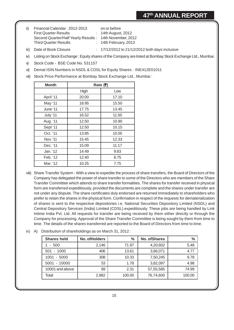ii) Financial Calendar : 2012-2013 on or before First Quarter Results : 14th August, 2012 Second Quarter/Half Yearly Results : 14th November, 2012 Third Quarter Results : 14th February, 2013

iii) Date of Book Closure : 17/12/2012 to 21/12/2012 both days inclusive

- iv) Listing on Stock Exchange : Equity shares of the Company are listed at Bombay Stock Exchange Ltd., Mumbai.
- v) Stock Code BSE Code No. 531157
- vi) Demat ISIN Numbers in NSDL & CDSL for Equity Shares : INE412E01011
- vii) Stock Price Performance at Bombay Stock Exchange Ltd., Mumbai :

| <b>Month</b> | Rate (र) |       |  |
|--------------|----------|-------|--|
|              | High     | Low   |  |
| April '11    | 20.00    | 17.10 |  |
| May '11      | 18.95    | 15.50 |  |
| June '11     | 17.75    | 13.45 |  |
| July '11     | 16.52    | 11.50 |  |
| Aug. '11     | 12.50    | 10.90 |  |
| Sept '11     | 12.50    | 10.15 |  |
| Oct. '11     | 13.85    | 10.05 |  |
| Nov. '11     | 15.45    | 12.33 |  |
| Dec. '11     | 15.09    | 11.17 |  |
| Jan. '12     | 14.49    | 9.83  |  |
| Feb. '12     | 12.40    | 8.75  |  |
| Mar. '12     | 10.25    | 7.75  |  |

- viii) Share Transfer System With a view to expedite the process of share transfers, the Board of Directors of the Company has delegated the power of share transfer to some of the Directors who are members of the Share Transfer Committee which attends to share transfer formalities. The shares for transfer received in physical form are transferred expeditiously, provided the documents are complete and the shares under transfer are not under any dispute. The share certificates duly endorsed are returned immediately to shareholders who prefer to retain the shares in the physical form. Confirmation in respect of the requests for dematerialization of shares is sent to the respective depositories i.e. National Securities Depository Limited (NSDL) and Central Depository Services (India) Limited (CDSL) expeditiously. These jobs are being handled by Link Intime India Pvt. Ltd. All requests for transfer are being received by them either directly or through the Company for processing. Approval of the Share Transfer Committee is being sought by them from time to time. The details of the shares transferred are reported to the Board of Directors from time to time.
- ix) A) Distribution of shareholdings as on March 31, 2012 :

| <b>Shares held</b> | No. of Holders | $\%$   | <b>No. of Shares</b> | $\frac{0}{0}$ |
|--------------------|----------------|--------|----------------------|---------------|
| $-500$             | 2,146          | 71.97  | 4,20,602             | 5.48          |
| $-1000$<br>501     | 406            | 13.61  | 3,66,071             | 4.77          |
| $-5000$<br>1001    | 308            | 10.33  | 7,50,245             | 9.78          |
| $-10000$<br>5001   | 53             | 1.78   | 3,82,097             | 4.98          |
| 10001 and above    | 69             | 2.31   | 57,55,585            | 74.99         |
| Total              | 2,982          | 100.00 | 76,74,600            | 100.00        |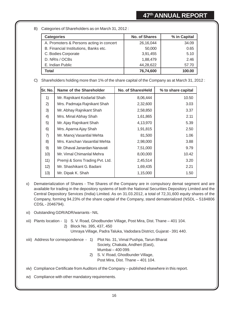B) Categories of Shareholders as on March 31, 2012 :

| <b>Categories</b>                        | <b>No. of Shares</b> | % in Capital |
|------------------------------------------|----------------------|--------------|
| A. Promoters & Persons acting in concert | 26,16,044            | 34.09        |
| B. Financial Institutions, Banks etc.    | 50,000               | 0.65         |
| C. Bodies Corporate                      | 3,91,455             | 5.10         |
| D. NRIs / OCBs                           | 1,88,479             | 2.46         |
| E. Indian Public                         | 44,28,622            | 57.70        |
| Total                                    | 76,74,600            | 100.00       |

C) Shareholders holding more than 1% of the share capital of the Company as at March 31, 2012 :

| Sr. No. | Name of the Shareholder         | <b>No. of SharesHeld</b> | % to share capital |
|---------|---------------------------------|--------------------------|--------------------|
| 1)      | Mr. Rajnikant Kodarlal Shah     | 8,06,444                 | 10.50              |
| 2)      | Mrs. Padmaja Rajnikant Shah     | 2,32,600                 | 3.03               |
| 3)      | Mr. Abhay Rajnikant Shah        | 2,58,850                 | 3.37               |
| 4)      | Mrs. Minal Abhay Shah           | 1,61,865                 | 2.11               |
| 5)      | Mr. Ajay Rajnikant Shah         | 4,13,970                 | 5.39               |
| 6)      | Mrs. Aparna Ajay Shah           | 1,91,815                 | 2.50               |
| 7)      | Mr. Manoj Vasantlal Mehta       | 81,500                   | 1.06               |
| 8)      | Mrs. Kanchan Vasantlal Mehta    | 2,98,000                 | 3.88               |
| 9)      | Mr. Dhaval Janardan Nanavati    | 7,51,000                 | 9.79               |
| 10)     | Mr. Vimal Chimanlal Mehra       | 8,00,000                 | 10.42              |
| 11)     | Premji & Sons Trading Pvt. Ltd. | 2,45,514                 | 3.20               |
| 12)     | Mr. Shashikant G. Badani        | 1,69,435                 | 2.21               |
| 13)     | Mr. Dipak K. Shah               | 1,15,000                 | 1.50               |

- x) Dematerialization of Shares The Shares of the Company are in compulsory demat segment and are available for trading in the depository systems of both the National Securities Depository Limited and the Central Depository Services (India) Limited. As on 31.03.2012, a total of 72,31,600 equity shares of the Company, forming 94.23% of the share capital of the Company, stand dematerialized (NSDL – 5184806 CDSL - 2046794).
- xi) Outstanding GDR/ADR/warrants NIL

xii) Plants location - 1) S. V. Road, Ghodbunder Village, Post Mira, Dist. Thane – 401 104. 2) Block No. 395, 437, 450 Umraya Village, Padra Taluka, Vadodara District, Gujarat - 391 440.

- xiii) Address for correspondence 1) Plot No. 31, Vimal Pushpa, Tarun Bharat Society, Chakala, Andheri (East), Mumbai – 400 099. 2) S. V. Road, Ghodbunder Village,
	- Post Mira, Dist. Thane 401 104.

xiv) Compliance Certificate from Auditors of the Company – published elsewhere in this report.

xv) Compliance with other mandatory requirements.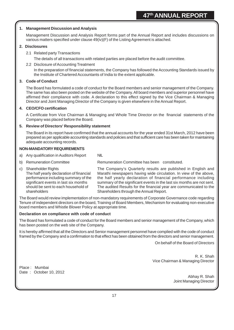#### **1. Management Discussion and Analysis**

Management Discussion and Analysis Report forms part of the Annual Report and includes discussions on various matters specified under clause 49(iv)(F) of the Listing Agreement is attached.

#### **2. Disclosures**

2.1 Related party Transactions

The details of all transactions with related parties are placed before the audit committee.

2.2 Disclosure of Accounting Treatment

In the preparation of financial statements, the Company has followed the Accounting Standards issued by the Institute of Chartered Accountants of India to the extent applicable.

#### **3. Code of Conduct**

The Board has formulated a code of conduct for the Board members and senior management of the Company. The same has also been posted on the website of the Company. All board members and superior personnel have affirmed their compliance with code. A declaration to this effect signed by the Vice Chairman & Managing Director and Joint Managing Director of the Company is given elsewhere in the Annual Report.

#### **4. CEO/CFO certification**

A Certificate from Vice Chairman & Managing and Whole Time Director on the financial statements of the Company was placed before the Board.

#### **5. Review of Directors' Responsibility statement**

The Board in its report have confirmed that the annual accounts for the year ended 31st March, 2012 have been prepared as per applicable accounting standards and policies and that sufficient care has been taken for maintaining adequate accounting records.

#### **NON-MANDATORY REQUIREMENTS**

- a) Any qualification in Auditors Report NIL
- 

b) Remuneration Committee Remuneration Committee has been constituted.

c) Shareholder Rights The Company's Quarterly results are published in English and The half yearly declaration of financial Marathi newspapers having wide circulation. In view of the above, performance including summary of the the half yearly declaration of financial performance including significant events in last six months summary of the significant events in the last six months are not sent. should be sent to each household of The audited Results for the financial year are communicated to the shareholders Shareholders through the Annual Report.

The Board would review implementation of non-mandatory requirements of Corporate Governance code regarding Tenure of independent directors on the board, Training of Board Members, Mechanism for evaluating non-executive board members and Whistle Blower Policy at appropriate time.

#### **Declaration on compliance with code of conduct**

The Board has formulated a code of conduct for the Board members and senior management of the Company, which has been posted on the web site of the Company.

It is hereby affirmed that all the Directors and Senior management personnel have complied with the code of conduct framed by the Company and a confirmation to that effect has been obtained from the directors and senior management.

On behalf of the Board of Directors

R. K. Shah Vice Chairman & Managing Director

Place : Mumbai Date: October 10, 2012

Abhay R. Shah Joint Managing Director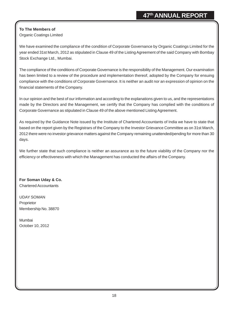### **To The Members of** Organic Coatings Limited

We have examined the compliance of the condition of Corporate Governance by Organic Coatings Limited for the year ended 31st March, 2012 as stipulated in Clause 49 of the Listing Agreement of the said Company with Bombay Stock Exchange Ltd., Mumbai.

The compliance of the conditions of Corporate Governance is the responsibility of the Management. Our examination has been limited to a review of the procedure and implementation thereof, adopted by the Company for ensuing compliance with the conditions of Corporate Governance. It is neither an audit nor an expression of opinion on the financial statements of the Company.

In our opinion and the best of our information and according to the explanations given to us, and the representations made by the Directors and the Management, we certify that the Company has complied with the conditions of Corporate Governance as stipulated in Clause 49 of the above mentioned Listing Agreement.

As required by the Guidance Note issued by the Institute of Chartered Accountants of India we have to state that based on the report given by the Registrars of the Company to the Investor Grievance Committee as on 31st March, 2012 there were no investor grievance matters against the Company remaining unattended/pending for more than 30 days.

We further state that such compliance is neither an assurance as to the future viability of the Company nor the efficiency or effectiveness with which the Management has conducted the affairs of the Company.

**For Soman Uday & Co.** Chartered Accountants

UDAY SOMAN Proprietor Membership No. 38870

Mumbai October 10, 2012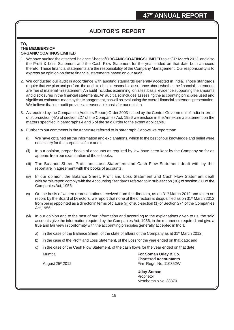# **AUDITOR'S REPORT**

#### **TO, THE MEMBERS OF ORGANIC COATINGS LIMITED**

- 1. We have audited the attached Balance Sheet of **ORGANIC COATINGS LIMITED** as at 31<sup>st</sup> March 2012, and also the Profit & Loss Statement and the Cash Flow Statement for the year ended on that date both annexed thereto. These financial statements are the responsibility of the Company Management. Our responsibility is to express an opinion on these financial statements based on our audit.
- 2. We conducted our audit in accordance with auditing standards generally accepted in India. Those standards require that we plan and perform the audit to obtain reasonable assurance about whether the financial statements are free of material misstatement. An audit includes examining, on a test basis, evidence supporting the amounts and disclosures in the financial statements. An audit also includes assessing the accounting principles used and significant estimates made by the Management, as well as evaluating the overall financial statement presentation. We believe that our audit provides a reasonable basis for our opinion.
- 3. As required by the Companies (Auditors Report) Order 2003 issued by the Central Government of India in terms of sub-section (4A) of section 227 of the Companies Act, 1956 we enclose in the Annexure a statement on the matters specified in paragraphs 4 and 5 of the said Order to the extent applicable.
- 4. Further to our comments in the Annexure referred to in paragraph 3 above we report that:
	- (i) We have obtained all the information and explanations, which to the best of our knowledge and belief were necessary for the purposes of our audit;
	- (ii) In our opinion, proper books of accounts as required by law have been kept by the Company so far as appears from our examination of those books;
	- (iii) The Balance Sheet, Profit and Loss Statement and Cash Flow Statement dealt with by this report are in agreement with the books of accounts;
	- (iv) In our opinion, the Balance Sheet, Profit and Loss Statement and Cash Flow Statement dealt with by this report comply with the Accounting Standards referred to in sub-section (3C) of section 211 of the Companies Act, 1956;
	- (v) On the basis of written representations received from the directors, as on 31<sup>st</sup> March 2012 and taken on record by the Board of Directors, we report that none of the directors is disqualified as on 31<sup>st</sup> March 2012 from being appointed as a director in terms of clause (g) of sub-section (1) of Section 274 of the Companies Act,1956;
	- (vi) In our opinion and to the best of our information and according to the explanations given to us, the said accounts give the information required by the Companies Act, 1956, in the manner so required and give a true and fair view in conformity with the accounting principles generally accepted in India;
		- a) in the case of the Balance Sheet, of the state of affairs of the Company as at 31<sup>st</sup> March 2012;
		- b) in the case of the Profit and Loss Statement, of the Loss for the year ended on that date; and
		- c) in the case of the Cash Flow Statement, of the cash flows for the year ended on that date.

Mumbai **For Soman Uday & Co. Chartered Accountants** August 25<sup>th</sup> 2012 **Firm Regn. No. 110352W** 

> **Uday Soman** Proprietor Membership No. 38870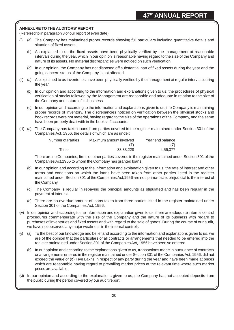#### **ANNEXURE TO THE AUDITORS' REPORT**

(Referred to in paragraph 3 of our report of even date)

- (i) (a) The Company has maintained proper records showing full particulars including quantitative details and situation of fixed assets.
	- (b) As explained to us the fixed assets have been physically verified by the management at reasonable intervals during the year, which in our opinion is reasonable having regard to the size of the Company and nature of its assets. No material discrepancies were noticed on such verification.
	- (c) In our opinion, the Company has not disposed off substantial part of fixed assets during the year and the going concern status of the Company is not affected.
- (ii) (a) As explained to us inventories have been physically verified by the management at regular intervals during the year.
	- (b) In our opinion and according to the information and explanations given to us, the procedures of physical verification of stocks followed by the Management are reasonable and adequate in relation to the size of the Company and nature of its business.
	- (c) In our opinion and according to the information and explanations given to us, the Company is maintaining proper records of inventory. The discrepancies noticed on verification between the physical stocks and book records were not material, having regard to the size of the operations of the Company, and the same have been properly dealt with in the books of accounts.
- (iii) (a) The Company has taken loans from parties covered in the register maintained under Section 301 of the Companies Act, 1956, the details of which are as under:

| <b>Number of Parties</b> | Maximum amount involved | Year end balance           |
|--------------------------|-------------------------|----------------------------|
|                          | (₹)                     | $(\overline{\mathcal{F}})$ |
| Three                    | 33.33.228               | 4.56.377                   |

There are no Companies, firms or other parties covered in the register maintained under Section 301 of the Companies Act,1956 to whom the Company has granted loans.

- (b) In our opinion and according to the information and explanation given to us, the rate of interest and other terms and conditions on which the loans have been taken from other parties listed in the register maintained under Section 301 of the Companies Act,1956 are not, prima-facie, prejudicial to the interest of the Company.
- (c) The Company is regular in repaying the principal amounts as stipulated and has been regular in the payment of interest.
- (d) There are no overdue amount of loans taken from three parties listed in the register maintained under Section 301 of the Companies Act, 1956.
- (iv) In our opinion and according to the information and explanation given to us, there are adequate internal control procedures commensurate with the size of the Company and the nature of its business with regard to purchases of inventories and fixed assets and with regard to the sale of goods. During the course of our audit, we have not observed any major weakness in the internal controls.
- (v) (a) To the best of our knowledge and belief and according to the information and explanations given to us, we are of the opinion that the particulars of all contracts or arrangements that needed to be entered into the register maintained under Section 301 of the Companies Act, 1956 have been so entered.
	- (b) In our opinion and according to the explanations given to us, transactions made in pursuance of contracts or arrangements entered in the register maintained under Section 301 of the Companies Act, 1956, did not exceed the value of  $(\bar{\tau})$  Five Lakhs in respect of any party during the year and have been made at prices which are reasonable having regard to prevailing market prices at the relevant time where such market prices are available.
- (vi) In our opinion and according to the explanations given to us, the Company has not accepted deposits from the public during the period covered by our audit report.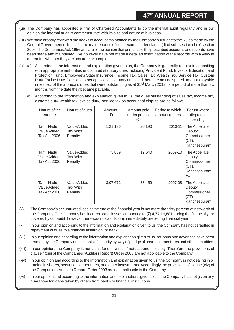- (vii) The Company has appointed a firm of Chartered Accountants to do the internal audit regularly and in our opinion the internal audit is commensurate with its size and nature of business.
- (viii) We have broadly reviewed the books of account maintained by the Company pursuant to the Rules made by the Central Government of India for the maintenance of cost records under clause (d) of sub-section (1) of section 209 of the Companies Act, 1956 and are of the opinion that prima facie the prescribed accounts and records have been made and maintained. We however have not made a detailed examination of the records with a view to determine whether they are accurate or complete.
- (ix) (a) According to the information and explanation given to us, the Company is generally regular in depositing with appropriate authorities undisputed statutory dues including Provident Fund, Investor Education and Protection Fund, Employee's State Insurance, Income Tax, Sales Tax, Wealth Tax, Service Tax, Custom Duty, Excise Duty, Cess and other applicable statutory dues and there are no undisputed amounts payable in respect of the aforesaid dues that were outstanding as at 31<sup>st</sup> March 2012 for a period of more than six months from the date they became payable.
	- (b) According to the information and explanation given to us, the dues outstanding of sales tax, income tax, customs duty, wealth tax, excise duty, service tax on account of dispute are as follows:

| Nature of the<br>statute                  | Nature of dues                            | Amount<br>$(\overline{\mathbf{z}})$ | Amount paid<br>under protest<br>(₹) | Period to which<br>amount relates | Forum where<br>dispute is<br>pending                                   |
|-------------------------------------------|-------------------------------------------|-------------------------------------|-------------------------------------|-----------------------------------|------------------------------------------------------------------------|
| Tamil Nadu<br>Value Added<br>Tax Act 2006 | Value Added<br>Tax With<br>Penalty        | 1,21,136                            | 20,190                              | 2010-11                           | The Appellate<br>Deputy<br>Commissioner<br>(CT),<br>Kancheepuram       |
| Tamil Nadu<br>Value Added<br>Tax Act 2006 | Value Added<br>Tax With<br>Penalty        | 75,839                              | 12,640                              | 2009-10                           | The Appellate<br>Deputy<br>Commissioner<br>(CT),<br>Kancheepuram<br>Aa |
| Tamil Nadu<br>Value Added<br>Tax Act 2006 | <b>Value Added</b><br>Tax With<br>Penalty | 3,07,672                            | 38,459                              | 2007-08                           | The Appellate<br>Deputy<br>Commissioner<br>(CT),<br>Kancheepuram       |

- (x) The Company's accumulated loss at the end of the financial year is not more than fifty percent of net worth of the Company. The Company has incurred cash losses amounting to  $(\bar{z})$  4,77,16,681 during the financial year covered by our audit, however there was no cash loss in immediately preceding financial year.
- (xi) In our opinion and according to the information and explanation given to us, the Company has not defaulted in repayment of dues to a financial institution, or bank.
- (xii) In our opinion and according to the information and explanation given to us, no loans and advances have been granted by the Company on the basis of security by way of pledge of shares, debentures and other securities.
- (xiii) In our opinion, the Company is not a chit fund or a nidhi/mutual benefit society. Therefore the provisions of clause 4(xiii) of the Companies (Auditors Report) Order 2003 are not applicable to the Company.
- (xiv) In our opinion and according to the information and explanation given to us, the Company is not dealing in or trading in shares, securities, debentures, and other investments. Accordingly the provisions of clause (xiv) of the Companies (Auditors Report) Order 2003 are not applicable to the Company.
- (xv) In our opinion and according to the information and explanations given to us, the Company has not given any guarantee for loans taken by others from banks or financial institutions.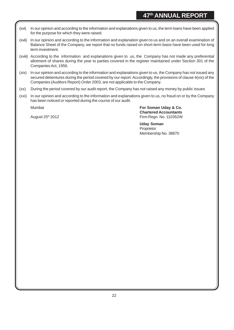- (xvi) In our opinion and according to the information and explanations given to us, the term loans have been applied for the purpose for which they were raised.
- (xvii) In our opinion and according to the information and explanation given to us and on an overall examination of Balance Sheet of the Company, we report that no funds raised on short-term basis have been used for long term investment.
- (xviii) According to the information and explanations given to us, the Company has not made any preferential allotment of shares during the year to parties covered in the register maintained under Section 301 of the Companies Act, 1956.
- (xix) In our opinion and according to the information and explanations given to us, the Company has not issued any secured debentures during the period covered by our report. Accordingly, the provisions of clause 4(xix) of the Companies (Auditors Report) Order 2003, are not applicable to the Company.
- (xx) During the period covered by our audit report, the Company has not raised any money by public issues
- (xxi) In our opinion and according to the information and explanations given to us, no fraud on or by the Company has been noticed or reported during the course of our audit.

Mumbai **For Soman Uday & Co. Chartered Accountants** August 25<sup>th</sup> 2012 **Firm Regn. No. 110352W** Firm Regn. No. 110352W

> **Uday Soman Proprietor** Membership No. 38870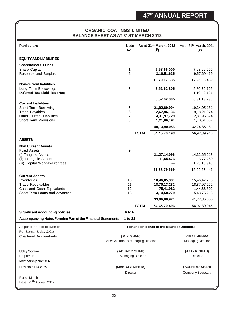## **ORGANIC COATINGS LIMITED BALANCE SHEET AS AT 31ST MARCH 2012**

| <b>Particulars</b>                                          | <b>Note</b><br>No.                |              | As at 31 <sup>st</sup> March, 2012<br>(5)   | As at 31 <sup>st</sup> March, 2011<br>$(\overline{\zeta})$ |
|-------------------------------------------------------------|-----------------------------------|--------------|---------------------------------------------|------------------------------------------------------------|
| <b>EQUITY AND LIABILITIES</b>                               |                                   |              |                                             |                                                            |
|                                                             |                                   |              |                                             |                                                            |
| <b>Shareholders' Funds</b>                                  |                                   |              |                                             |                                                            |
| Share Capital<br>Reserves and Surplus                       | 1<br>$\overline{c}$               |              | 7,68,66,000                                 | 7,68,66,000<br>9,57,69,469                                 |
|                                                             |                                   |              | 3, 10, 51, 635                              |                                                            |
|                                                             |                                   |              | 10,79,17,635                                | 17,26,35,469                                               |
| <b>Non-current liabilities</b>                              |                                   |              |                                             |                                                            |
| Long Term Borrowings                                        | 3                                 |              | 3,52,62,805                                 | 5,80,79,105                                                |
| Deferred Tax Liabilities (Net)                              | $\overline{4}$                    |              |                                             | 1,10,40,191                                                |
|                                                             |                                   |              | 3,52,62,805                                 | 6,91,19,296                                                |
| <b>Current Liabilities</b>                                  |                                   |              |                                             |                                                            |
| Short Term Borrowings                                       | 5                                 |              | 21,92,89,994                                | 19,34,05,181                                               |
| <b>Trade Payables</b>                                       | 6                                 |              | 12,67,96,136                                | 9, 18, 21, 974                                             |
| <b>Other Current Liabilities</b>                            | 7                                 |              | 4,31,97,729                                 | 2,81,96,374                                                |
| <b>Short Term Provisions</b>                                | 8                                 |              | 1,21,06,194                                 | 1,40,61,652                                                |
|                                                             |                                   |              | 40,13,90,053                                | 32,74,85,181                                               |
|                                                             |                                   | <b>TOTAL</b> | 54,45,70,493                                | 56,92,39,946                                               |
|                                                             |                                   |              |                                             |                                                            |
| <b>ASSETS</b>                                               |                                   |              |                                             |                                                            |
| <b>Non Current Assets</b>                                   |                                   |              |                                             |                                                            |
| <b>Fixed Assets</b>                                         | $\boldsymbol{9}$                  |              |                                             |                                                            |
| (i) Tangible Assets                                         |                                   |              | 21,27,14,096                                | 14,32,65,218                                               |
| (ii) Intangible Assets                                      |                                   |              | 11,65,473                                   | 13,77,280                                                  |
| (iii) Capital Work-In-Progress                              |                                   |              |                                             | 1,23,10,948                                                |
|                                                             |                                   |              |                                             |                                                            |
|                                                             |                                   |              | 21,38,79,569                                | 15,69,53,446                                               |
| <b>Current Assets</b>                                       |                                   |              |                                             |                                                            |
| Inventories                                                 | 10                                |              | 10,46,85,381                                | 15,46,47,213                                               |
| <b>Trade Receivables</b>                                    | 11                                |              | 18,70,13,282                                | 18,87,97,272                                               |
| Cash and Cash Equivalents                                   | 12                                |              | 75,41,982                                   | 1,44,66,802                                                |
| Short Term Loans and Advances                               | 13                                |              | 3,14,50,279                                 | 5,43,75,213                                                |
|                                                             |                                   |              | 33,06,90,924                                | 41,22,86,500                                               |
|                                                             |                                   | <b>TOTAL</b> | 54,45,70,493                                | 56,92,39,946                                               |
| <b>Significant Accounting policies</b>                      | A to N                            |              |                                             |                                                            |
| Accompanying Notes Forming Part of the Financial Statements | 1 to 31                           |              |                                             |                                                            |
|                                                             |                                   |              |                                             |                                                            |
| As per our report of even date                              |                                   |              | For and on behalf of the Board of Directors |                                                            |
| For Soman Uday & Co.                                        |                                   |              |                                             |                                                            |
| <b>Chartered Accountants</b>                                | (R.K. SHAH)                       |              |                                             | (VIMAL MEHRA)                                              |
|                                                             | Vice Chairman & Managing Director |              |                                             | <b>Managing Director</b>                                   |
|                                                             |                                   |              |                                             |                                                            |
| <b>Uday Soman</b>                                           | (ABHAY R. SHAH)                   |              |                                             | (AJAY R. SHAH)                                             |
|                                                             |                                   |              |                                             |                                                            |
| Proprietor                                                  | Jt. Managing Director             |              |                                             | <b>Director</b>                                            |
| Membership No: 38870                                        |                                   |              |                                             |                                                            |
| FRN No.: 110352W                                            | (MANOJ V. MEHTA)                  |              |                                             | (SUDHIR R. SHAH)                                           |
|                                                             | <b>Director</b>                   |              |                                             | <b>Company Secretary</b>                                   |
|                                                             |                                   |              |                                             |                                                            |
| Place: Mumbai                                               |                                   |              |                                             |                                                            |
| Date: 25 <sup>th</sup> August, 2012                         |                                   |              |                                             |                                                            |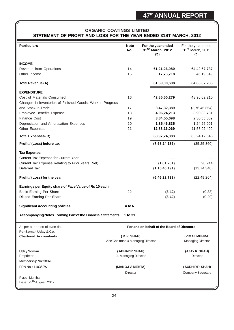## **ORGANIC COATINGS LIMITED STATEMENT OF PROFIT AND LOSS FOR THE YEAR ENDED 31ST MARCH, 2012**

| <b>Particulars</b>                                          | <b>Note</b><br>No.                | For the year ended<br>31 <sup>st</sup> March, 2012<br>(5) | For the year ended<br>31st March, 2011<br>(3) |
|-------------------------------------------------------------|-----------------------------------|-----------------------------------------------------------|-----------------------------------------------|
| <b>INCOME</b>                                               |                                   |                                                           |                                               |
| Revenue from Operations                                     | 14                                | 61,21,26,980                                              | 64, 42, 67, 737                               |
| Other Income                                                | 15                                | 17,73,718                                                 | 46,19,549                                     |
| <b>Total Revenue (A)</b>                                    |                                   | 61,39,00,698                                              | 64,88,87,286                                  |
| <b>EXPENDITURE</b>                                          |                                   |                                                           |                                               |
| Cost of Materials Consumed                                  | 16                                | 42,85,50,279                                              | 48,96,02,210                                  |
| Changes in Inventories of Finished Goods, Work-In-Progress  |                                   |                                                           |                                               |
| and Stock-In-Trade                                          | 17                                | 3,47,32,389                                               | (2,76,45,854)                                 |
| <b>Employee Benefits Expense</b>                            | 18                                | 4,06,24,213                                               | 3,90,83,781                                   |
| <b>Finance Cost</b>                                         | 19                                | 3,84,55,098                                               | 2,30,55,009                                   |
| Depreciation and Amortisation Expenses                      | 20                                | 1,85,46,835                                               | 1,24,25,001                                   |
| Other Expenses                                              | 21                                | 12,88,16,069                                              | 11,58,92,499                                  |
| <b>Total Expenses (B)</b>                                   |                                   | 68,97,24,883                                              | 65,24,12,646                                  |
| Profit / (Loss) before tax                                  |                                   | (7, 58, 24, 185)                                          | (35, 25, 360)                                 |
| <b>Tax Expense:</b>                                         |                                   |                                                           |                                               |
| Current Tax Expense for Current Year                        |                                   |                                                           |                                               |
| Current Tax Expense Relating to Prior Years (Net)           |                                   | (1,61,261)                                                | 98,244                                        |
| Deferred Tax                                                |                                   | (1, 10, 40, 191)                                          | (13, 74, 340)                                 |
| Profit / (Loss) for the year                                |                                   | (6, 46, 22, 733)                                          | (22, 49, 264)                                 |
| Earnings per Equity share of Face Value of Rs 10 each       |                                   |                                                           |                                               |
| <b>Basic Earning Per Share</b>                              | 22                                | (8.42)                                                    | (0.33)                                        |
| Diluted Earning Per Share                                   |                                   | (8.42)                                                    | (0.29)                                        |
| <b>Significant Accounting policies</b>                      | A to N                            |                                                           |                                               |
| Accompanying Notes Forming Part of the Financial Statements |                                   |                                                           |                                               |
| As per our report of even date                              |                                   | For and on behalf of the Board of Directors               |                                               |
| For Soman Uday & Co.<br><b>Chartered Accountants</b>        | (R.K.SHAH)                        |                                                           | (VIMAL MEHRA)                                 |
|                                                             | Vice Chairman & Managing Director |                                                           | <b>Managing Director</b>                      |
| <b>Uday Soman</b>                                           | (ABHAY R. SHAH)                   |                                                           | (AJAY R. SHAH)                                |
| Proprietor                                                  | Jt. Managing Director             |                                                           | <b>Director</b>                               |
| Membership No: 38870                                        |                                   |                                                           |                                               |
| FRN No.: 110352W                                            | (MANOJ V. MEHTA)                  |                                                           | (SUDHIR R. SHAH)                              |
|                                                             | <b>Director</b>                   |                                                           | <b>Company Secretary</b>                      |
| Place: Mumbai                                               |                                   |                                                           |                                               |
| Date: 25 <sup>th</sup> August, 2012                         |                                   |                                                           |                                               |
|                                                             |                                   |                                                           |                                               |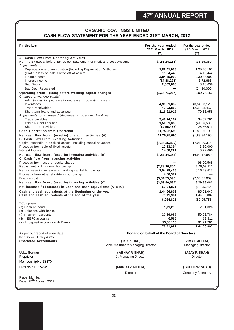## **ORGANIC COATINGS LIMITED CASH FLOW STATEMENT FOR THE YEAR ENDED 31ST MARCH, 2012**

| <b>Particulars</b>                                                                                       |                                   | For the year ended<br>31 <sup>st</sup> March, 2012 | For the year ended<br>31 <sup>St</sup> March, 2011 |
|----------------------------------------------------------------------------------------------------------|-----------------------------------|----------------------------------------------------|----------------------------------------------------|
|                                                                                                          |                                   | (3)                                                | (₹)                                                |
| A. Cash Flow From Operating Activities                                                                   |                                   |                                                    |                                                    |
| Net Profit / (Loss) before Tax as per Satetement of Profit and Loss Account                              |                                   | (7, 58, 24, 185)                                   | (35, 25, 360)                                      |
| Adjustments for:                                                                                         |                                   |                                                    |                                                    |
| Depreciation and amortisation (Including Depreciation Withdrawn)                                         |                                   | 1,86,41,936                                        | 1,25,20,102                                        |
| (Profit) / loss on sale / write off of assets                                                            |                                   | 11,34,446                                          | 4,10,442                                           |
| Finance costs                                                                                            |                                   | 3,84,55,098                                        | 2,30,55,009                                        |
| Interest income<br><b>Bad Debts</b>                                                                      |                                   | (14, 88, 221)                                      | (3,72,666)                                         |
| <b>Bad Debt Recovered</b>                                                                                |                                   | 2,609,860                                          | 3,16,639<br>(24, 30, 000)                          |
|                                                                                                          |                                   | (1,64,71,067)                                      | 2,99,74,166                                        |
| Operating profit / (loss) before working capital changes<br>Changes in working capital:                  |                                   |                                                    |                                                    |
| Adjustments for (increase) / decrease in operating assets:                                               |                                   |                                                    |                                                    |
| Inventories                                                                                              |                                   | 4,99,61,832                                        | (3, 54, 33, 123)                                   |
| Trade receivables                                                                                        |                                   | 43,93,850                                          | (2,33,38,457)                                      |
| Short-term loans and advances                                                                            |                                   | 3, 16, 21, 017                                     | 79,53,958                                          |
| Adjustments for increase / (decrease) in operating liabilities:                                          |                                   |                                                    |                                                    |
| Trade payables                                                                                           |                                   | 3,49,74,162                                        | 34,07,781                                          |
| Other current liabilities                                                                                |                                   | 1,50,01,355                                        | (41, 36, 588)                                      |
| Short-term provisions                                                                                    |                                   | (19, 55, 458)                                      | 25,86,073                                          |
| <b>Cash Generation from Operation</b>                                                                    |                                   | 11,75,25,690                                       | (1,89,86,190)                                      |
| Net cash flow from / (used in) operating activities (A)<br><b>B. Cash Flow From Investing Activities</b> |                                   | 11,75,25,690                                       | (1,89,86,190)                                      |
| Capital expenditure on fixed assets, including capital advances                                          |                                   | (7, 84, 35, 899)                                   | (7,06,20,316)                                      |
| Proceeds from sale of fixed assets                                                                       |                                   | 17,33,394                                          | 3,30,000                                           |
| Interest Income                                                                                          |                                   | 14,88,221                                          | 3,72,666                                           |
| Net cash flow from / (used in) investing activities (B)                                                  |                                   | (7, 52, 14, 284)                                   | (6,99,17,650)                                      |
| C. Cash flow from financing activities                                                                   |                                   |                                                    |                                                    |
| Proceeds from issue of equity shares                                                                     |                                   |                                                    | 96,20,568                                          |
| Repayment of long-term borrowings                                                                        |                                   | (2, 28, 16, 300)                                   | 3,48,09,112                                        |
| Net increase / (decrease) in working capital borrowings                                                  |                                   | 2,54,28,436                                        | 6, 16, 23, 415                                     |
| Proceeds from other short-term borrowings                                                                |                                   | 4,56,377                                           |                                                    |
| Finance cost                                                                                             |                                   | (3,84,55,098)                                      | (2,30,55,009)                                      |
| Net cash flow from / (used in) financing activities (C)                                                  |                                   | (3,53,86,585)                                      | 8,29,98,086                                        |
| Net increase / (decrease) in Cash and cash equivalents (A+B+C)                                           |                                   | 69,24,821                                          | (59,05,754)                                        |
| Cash and cash equivalents at the Beginning of the year                                                   |                                   | 1,44,66,802                                        | 85,61,047                                          |
| Cash and cash equivalents at the end of the year                                                         |                                   | 75,41,981                                          | 1,44,66,802                                        |
| * Comprises:                                                                                             |                                   | 6,924,821                                          | (59, 05, 755)                                      |
| (a) Cash on hand                                                                                         |                                   | 1, 11, 215                                         | 2,51,326                                           |
| (c) Balances with banks                                                                                  |                                   |                                                    |                                                    |
| (i) In current accounts                                                                                  |                                   | 20,66,087                                          | 59,73,784                                          |
| (ii) In EEFC accounts                                                                                    |                                   | 6,565                                              | 69,911                                             |
| (iii) In deposit accounts with Banks                                                                     |                                   | 53,58,115                                          | 81,71,781                                          |
|                                                                                                          |                                   | 75,41,981                                          | 1,44,66,802                                        |
| As per our report of even date                                                                           |                                   | For and on behalf of the Board of Directors        |                                                    |
| For Soman Uday & Co.                                                                                     |                                   |                                                    |                                                    |
| <b>Chartered Accountants</b>                                                                             | (R. K. SHAH)                      |                                                    | (VIMAL MEHRA)                                      |
|                                                                                                          | Vice Chairman & Managing Director |                                                    | <b>Managing Director</b>                           |
|                                                                                                          |                                   |                                                    |                                                    |
| <b>Uday Soman</b>                                                                                        | (ABHAY R. SHAH)                   |                                                    | (AJAY R. SHAH)                                     |
| Proprietor                                                                                               | Jt. Managing Director             |                                                    | <b>Director</b>                                    |
| Membership No: 38870                                                                                     |                                   |                                                    |                                                    |

FRN No. : 110352W **(MANOJ V. MEHTA) ( SUDHIR R. SHAH)**

Director Company Secretary

Place : Mumbai

Date: 25<sup>th</sup> August, 2012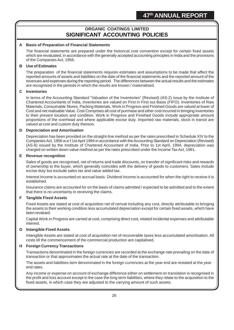# **ORGANIC COATINGS LIMITED SIGNIFICANT ACCOUNTING POLICIES**

#### **A Basis of Preparation of Financial Statements**

The financial statements are prepared under the historical cost convention except for certain fixed assets which are revaluated, in accordance with the generally accepted accounting principles in India and the provisions of the Companies Act, 1956.

#### **B Use of Estimates**

The preparation of the financial statements requires estimates and assumptions to be made that affect the reported amounts of assets and liabilities on the date of the financial statements and the reported amount of the revenues and expenses during the reporting period. The differences between the actual results and the estimates are recognised in the periods in which the results are known / materialised.

#### **C Inventories**

In terms of the Accounting Standard "Valuation of the Inventories" (Revised) (AS-2) issue by the Institute of Chartered Accountants of India, inventories are valued on First in First out Basis (FIFO). Inventories of Raw Materials, Consumable Stores, Packing Materials, Work in Progress and Finished Goods are valued at lower of Cost and net realisable Value. Cost Comprises all cost of purchase and other cost incurred in bringing inventories to their present location and condition. Work in Progress and Finished Goods include appropriate amount proportions of the overhead and where applicable excise duty. Imported raw materials, stock in transit are valued at cost and custom duty thereon.

#### **D Depreciation and Amortisation**

Depreciation has been provided on the straight-line method as per the rates prescribed in Schedule XIV to the Companies Act, 1956 w.e.f 1st April 1994 in accordance with the Accounting Standard on Depreciation (Revised) (AS-6) issued by the Institute of Chartered Accountant of India. Prior to 1st April, 1994, depreciation was charged on written down value method as per the rates prescribed under the Income Tax Act, 1961.

#### **E Revenue recognition**

Sales of goods are recognised, net of returns and trade discounts, on transfer of significant risks and rewards of ownership to the buyer, which generally coincides with the delivery of goods to customers. Sales include excise duty but exclude sales tax and value added tax.

Interest income is accounted on accrual basis. Dividend income is accounted for when the right to receive it is established.

Insurance claims are accounted for on the basis of claims admitted / expected to be admitted and to the extent that there is no uncertainty in receiving the claims.

## **F Tangible Fixed Assets**

Fixed Assets are stated at cost of acquisition net of cenvat including any cost, directly attributable to bringing the assets to their working condition less accumulated depreciation except for certain fixed assets, which have been revalued.

Capital Work in Progress are carried at cost, comprising direct cost, related incidental expenses and attributable interest.

## **G Intangible Fixed Assets**

Intangible Assets are stated at cost of acquisition net of recoverable taxes less accumulated amortisation. All costs till the commencement of the commercial production are capitalised.

#### **H Foreign Currency Transactions**

Transactions denominated in the foreign currencies are recorded at the exchange rate prevailing on the date of transaction or that approximates the actual rate at the date of the transaction.

The assets and liabilities item denominated in the foreign currencies at the year end are restated at the year end rates.

Any income or expense on account of exchange difference either on settlement on translation is recognised in the profit and loss account except in the case the long term liabilities, where they relate to the acquisition to the fixed assets, in which case they are adjusted to the carrying amount of such assets.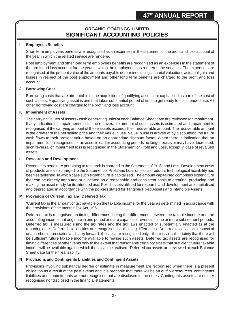# **ORGANIC COATINGS LIMITED SIGNIFICANT ACCOUNTING POLICIES**

#### **I Employees Benefits**

Short term employees benefits are recognised as an expenses in the statement of the profit and loss account of the year in which the related service are rendered.

Post employment and other long term employees benefits are recognised as an expenses in the statement of the profit and loss account for the year in which the employees has rendered the services. The expenses are recognised at the present value of the amounts payable determined using actuarial valuations actuarial gain and losses in respect of the post employment and other long term benefits are charged to the profit and loss account.

#### **J Borrowing Cost**

Borrowing costs that are attributable to the acquisition of qualifying assets are capitalised as part of the cost of such assets. A qualifying asset is one that takes substantial period of time to get ready for its intended use. All other borrowing cost are charged to the profit and loss account

#### **K Impairment of Assets**

The carrying values of assets / cash generating units at each Balance Sheet date are reviewed for impairment. If any indication of impairment exists, the recoverable amount of such assets is estimated and impairment is recognised, if the carrying amount of these assets exceeds their recoverable amount. The recoverable amount is the greater of the net selling price and their value in use. Value in use is arrived at by discounting the future cash flows to their present value based on an appropriate discount factor. When there is indication that an impairment loss recognised for an asset in earlier accounting periods no longer exists or may have decreased, such reversal of impairment loss is recognised in the Statement of Profit and Loss, except in case of revalued assets.

#### **L Research and Development**

Revenue expenditure pertaining to research is charged to the Statement of Profit and Loss. Development costs of products are also charged to the Statement of Profit and Loss unless a product's technological feasibility has been established, in which case such expenditure is capitalised. The amount capitalised comprises expenditure that can be directly attributed or allocated on a reasonable and consistent basis to creating, producing and making the asset ready for its intended use. Fixed assets utilised for research and development are capitalised and depreciated in accordance with the policies stated for Tangible Fixed Assets and Intangible Assets.

#### **M Provision of Current Tax and Deferred Tax**

'Current tax is the amount of tax payable on the taxable income for the year as determined in accordance with the provisions of the Income Tax Act, 1961.

Deferred tax is recognised on timing differences, being the differences between the taxable income and the accounting income that originate in one period and are capable of reversal in one or more subsequent periods. Deferred tax is measured using the tax rates and the tax laws enacted or substantially enacted as at the reporting date. Deferred tax liabilities are recognised for all timing differences. Deferred tax assets in respect of unabsorbed depreciation and carry forward of losses are recognised only if there is virtual certainty that there will be sufficient future taxable income available to realise such assets. Deferred tax assets are recognised for timing differences of other items only to the extent that reasonable certainty exists that sufficient future taxable income will be available against which these can be realised. Deferred tax assets are reviewed at each Balance Sheet date for their realisability.

#### **N Provisions and Contingents Liabilities and Contingent Assets**

Provisions involving substantial degree of estimate in measurement are recognised when there is a present obligation as a result of the past events and it is probable that there will be an outflow resources. contingents liabilities and commitments are not recognised but are disclosed in the notes. Contingents assets are neither recognised nor disclosed in the financial statements.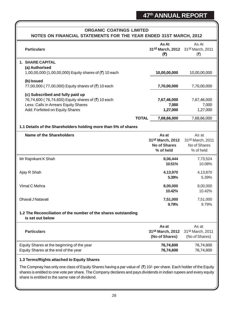|                                                                                                                                                                        |                                                                           | NOTES ON FINANCIAL STATEMENTS FOR THE YEAR ENDED 31ST MARCH, 2012  |
|------------------------------------------------------------------------------------------------------------------------------------------------------------------------|---------------------------------------------------------------------------|--------------------------------------------------------------------|
| <b>Particulars</b>                                                                                                                                                     | As At<br>31st March, 2012 31st March, 2011<br>(5)                         | As At<br>(₹)                                                       |
| 1. SHARE CAPITAL                                                                                                                                                       |                                                                           |                                                                    |
| (a) Authorised<br>1,00,00,000 (1,00,00,000) Equity shares of (₹) 10 each                                                                                               | 10,00,00,000                                                              | 10,00,00,000                                                       |
|                                                                                                                                                                        |                                                                           |                                                                    |
| (b) Issued<br>77,00,000 (77,00,000) Equity shares of (₹) 10 each                                                                                                       | 7,70,00,000                                                               | 7,70,00,000                                                        |
| (c) Subscribed and fully paid up                                                                                                                                       |                                                                           |                                                                    |
| 76,74,600 (76,74,600) Equity shares of (₹) 10 each                                                                                                                     | 7,67,46,000                                                               | 7,67,46,000                                                        |
| Less: Calls in Arrears Equity Shares                                                                                                                                   | 7,000                                                                     | 7,000                                                              |
| Add: Forfeited on Equity Shares                                                                                                                                        | 1,27,000                                                                  | 1,27,000                                                           |
|                                                                                                                                                                        | <b>TOTAL</b><br>7,68,66,000                                               | 7,68,66,000                                                        |
| 1.1 Details of the Shareholders holding more than 5% of shares                                                                                                         |                                                                           |                                                                    |
| <b>Name of the Shareholders</b>                                                                                                                                        | As at<br>31 <sup>st</sup> March, 2012<br><b>No of Shares</b><br>% of held | As at<br>31 <sup>st</sup> March, 2011<br>No of Shares<br>% of held |
| Mr Rajnikant K Shah                                                                                                                                                    | 8,06,444                                                                  | 7,73,524                                                           |
|                                                                                                                                                                        | 10.51%                                                                    | 10.08%                                                             |
| Ajay R Shah                                                                                                                                                            | 4,13,970                                                                  | 4,13,870                                                           |
|                                                                                                                                                                        | 5.39%                                                                     | 5.39%                                                              |
| Vimal C Mehra                                                                                                                                                          | 8,00,000                                                                  | 8,00,000                                                           |
|                                                                                                                                                                        | 10.42%                                                                    | 10.42%                                                             |
| Dhaval J Natavati                                                                                                                                                      | 7,51,000                                                                  | 7,51,000                                                           |
|                                                                                                                                                                        | 9.79%                                                                     | 9.79%                                                              |
| 1.2 The Reconciliation of the number of the shares outstanding<br>is set out below                                                                                     |                                                                           |                                                                    |
|                                                                                                                                                                        |                                                                           |                                                                    |
| <b>Particulars</b>                                                                                                                                                     | As at<br>31st March, 2012                                                 | As at<br>31st March, 2011                                          |
|                                                                                                                                                                        | (No of Shares)                                                            | (No of Shares)                                                     |
| Equity Shares at the beginning of the year                                                                                                                             | 76,74,600                                                                 | 76,74,600                                                          |
| Equity Shares at the end of the year                                                                                                                                   | 76,74,600                                                                 | 76,74,600                                                          |
| 1.3 Terms/Rights attached to Equity Shares                                                                                                                             |                                                                           |                                                                    |
| The Compnay has only one class of Equity Shares having a par value of $(3)$ 10/- per share. Each holder of the Equity                                                  |                                                                           |                                                                    |
| shares is entitled to one vote per share. The Company declares and pays dividends in indian rupees and every equity<br>share is entitled to the same rate of dividend. |                                                                           |                                                                    |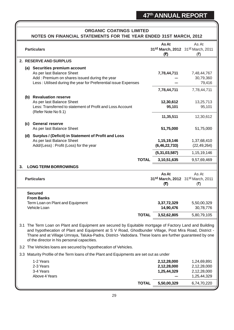| <b>ORGANIC COATINGS LIMITED</b><br>NOTES ON FINANCIAL STATEMENTS FOR THE YEAR ENDED 31ST MARCH, 2012                  |                                                                                                                                                                                                                                                                                                                                                                           |                                                                                                                                                                                |              |                                           |                                                          |  |
|-----------------------------------------------------------------------------------------------------------------------|---------------------------------------------------------------------------------------------------------------------------------------------------------------------------------------------------------------------------------------------------------------------------------------------------------------------------------------------------------------------------|--------------------------------------------------------------------------------------------------------------------------------------------------------------------------------|--------------|-------------------------------------------|----------------------------------------------------------|--|
|                                                                                                                       |                                                                                                                                                                                                                                                                                                                                                                           | <b>Particulars</b>                                                                                                                                                             |              | As At<br>(5)                              | As At<br>31st March, 2012 31st March, 2011<br>(₹)        |  |
|                                                                                                                       |                                                                                                                                                                                                                                                                                                                                                                           | 2. RESERVE AND SURPLUS                                                                                                                                                         |              |                                           |                                                          |  |
|                                                                                                                       |                                                                                                                                                                                                                                                                                                                                                                           | (a) Securities premium account<br>As per last Balance Sheet<br>Add: Premium on shares issued during the year<br>Less: Utilised during the year for Preferential issue Expenses |              | 7,78,44,711                               | 7,48,44,767<br>30,79,360<br>79,416                       |  |
|                                                                                                                       |                                                                                                                                                                                                                                                                                                                                                                           |                                                                                                                                                                                |              | 7,78,44,711                               | 7,78,44,711                                              |  |
|                                                                                                                       |                                                                                                                                                                                                                                                                                                                                                                           | (b) Revaluation reserve<br>As per last Balance Sheet<br>Less: Transferred to statement of Profit and Loss Account<br>(Refer Note No 9.1)                                       |              | 12,30,612<br>95,101                       | 13,25,713<br>95,101                                      |  |
|                                                                                                                       |                                                                                                                                                                                                                                                                                                                                                                           |                                                                                                                                                                                |              | 11,35,511                                 | 12,30,612                                                |  |
|                                                                                                                       | (c)                                                                                                                                                                                                                                                                                                                                                                       | <b>General reserve</b><br>As per last Balance Sheet                                                                                                                            |              | 51,75,000                                 | 51,75,000                                                |  |
|                                                                                                                       |                                                                                                                                                                                                                                                                                                                                                                           | (d) Surplus / (Deficit) in Statement of Profit and Loss<br>As per last Balance Sheet<br>Add/(Less): Profit (Loss) for the year                                                 |              | 1, 15, 19, 146<br>(6, 46, 22, 733)        | 1,37,68,410<br>(22, 49, 264)                             |  |
|                                                                                                                       |                                                                                                                                                                                                                                                                                                                                                                           |                                                                                                                                                                                |              | (5,31,03,587)                             | 1,15,19,146                                              |  |
|                                                                                                                       |                                                                                                                                                                                                                                                                                                                                                                           | <b>TOTAL</b>                                                                                                                                                                   |              | 3,10,51,635                               | 9,57,69,469                                              |  |
| <b>LONG TERM BORROWINGS</b><br>3.<br>As At<br>As At<br>31st March, 2012 31st March, 2011<br><b>Particulars</b><br>(₹) |                                                                                                                                                                                                                                                                                                                                                                           |                                                                                                                                                                                |              | (₹)                                       |                                                          |  |
|                                                                                                                       |                                                                                                                                                                                                                                                                                                                                                                           | <b>Secured</b><br><b>From Banks</b><br>Term Loan on Plant and Equipment<br>Vehicle Loan                                                                                        |              | 3,37,72,329<br>14,90,476                  | 5,50,00,329<br>30,78,776                                 |  |
|                                                                                                                       |                                                                                                                                                                                                                                                                                                                                                                           |                                                                                                                                                                                | <b>TOTAL</b> | 3,52,62,805                               | 5,80,79,105                                              |  |
|                                                                                                                       | 3.1 The Term Loan on Plant and Equipment are secured by Equitable mortgage of Factory Land and Building<br>and hypothecation of Plant and Equipment at S V Road, Ghodbunder Village, Post Mira Road, District -<br>Thane and at Village Umraya, Taluka-Padra, District-Vadodara. These loans are further guaranteed by one<br>of the director in his personal capacities. |                                                                                                                                                                                |              |                                           |                                                          |  |
|                                                                                                                       |                                                                                                                                                                                                                                                                                                                                                                           | 3.2 The Vehicles loans are secured by hypothecation of Vehicles.                                                                                                               |              |                                           |                                                          |  |
|                                                                                                                       |                                                                                                                                                                                                                                                                                                                                                                           | 3.3 Maturity Profile of the Term loans of the Plant and Equipments are set out as under                                                                                        |              |                                           |                                                          |  |
|                                                                                                                       |                                                                                                                                                                                                                                                                                                                                                                           | 1-2 Years<br>2-3 Years<br>3-4 Years<br>Above 4 Years                                                                                                                           |              | 2,12,28,000<br>2,12,28,000<br>1,25,44,329 | 1,24,69,891<br>2,12,28,000<br>2,12,28,000<br>1,25,44,329 |  |
|                                                                                                                       |                                                                                                                                                                                                                                                                                                                                                                           |                                                                                                                                                                                | <b>TOTAL</b> | 5,50,00,329                               | 6,74,70,220                                              |  |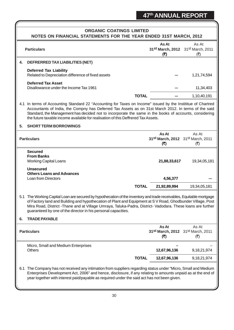| <b>ORGANIC COATINGS LIMITED</b>    |                                                                                                                                                                                                                                                                                                                                                                                                                     |                                                   |                                                   |  |  |
|------------------------------------|---------------------------------------------------------------------------------------------------------------------------------------------------------------------------------------------------------------------------------------------------------------------------------------------------------------------------------------------------------------------------------------------------------------------|---------------------------------------------------|---------------------------------------------------|--|--|
|                                    | NOTES ON FINANCIAL STATEMENTS FOR THE YEAR ENDED 31ST MARCH, 2012                                                                                                                                                                                                                                                                                                                                                   |                                                   |                                                   |  |  |
|                                    | <b>Particulars</b>                                                                                                                                                                                                                                                                                                                                                                                                  | As At<br>(5)                                      | As At<br>31st March, 2012 31st March, 2011<br>(₹) |  |  |
| 4.                                 | DEFRERRED TAX LIABILITIES (NET)                                                                                                                                                                                                                                                                                                                                                                                     |                                                   |                                                   |  |  |
|                                    | <b>Deferred Tax Liability</b><br>Related to Depreciation difference of fixed assets                                                                                                                                                                                                                                                                                                                                 |                                                   | 1,21,74,594                                       |  |  |
|                                    | <b>Deferred Tax Asset</b><br>Disallowance under the Income Tax 1961                                                                                                                                                                                                                                                                                                                                                 |                                                   | 11,34,403                                         |  |  |
|                                    | <b>TOTAL</b>                                                                                                                                                                                                                                                                                                                                                                                                        |                                                   | 1,10,40,191                                       |  |  |
|                                    | 4.1 In terms of Accounting Standard 22 "Accounting for Taxes on Income" issued by the Instititue of Chartred<br>Accountants of India, the Compny has Deferred Tax Assets as on 31st March 2012. In terms of the said<br>Standard, the Management has decided not to incorporate the same in the books of accounts, considering<br>the future taxable income available for realisation of this Deffrered Tax Assets. |                                                   |                                                   |  |  |
| <b>SHORT TERM BORROWINGS</b><br>5. |                                                                                                                                                                                                                                                                                                                                                                                                                     |                                                   |                                                   |  |  |
|                                    | <b>Particulars</b>                                                                                                                                                                                                                                                                                                                                                                                                  | As At<br>31st March, 2012 31st March, 2011<br>(₹) | As At<br>$(\overline{\mathbf{z}})$                |  |  |
|                                    | <b>Secured</b><br><b>From Banks</b><br><b>Working Capital Loans</b>                                                                                                                                                                                                                                                                                                                                                 | 21,88,33,617                                      | 19,34,05,181                                      |  |  |
|                                    | <b>Unsecured</b><br><b>Others Loans and Advances</b><br><b>Loan from Directors</b>                                                                                                                                                                                                                                                                                                                                  | 4,56,377                                          |                                                   |  |  |
|                                    | <b>TOTAL</b>                                                                                                                                                                                                                                                                                                                                                                                                        | 21,92,89,994                                      | 19,34,05,181                                      |  |  |
|                                    | 5.1 The Working Capital Loan are secured by hypothecation of the inventory and trade receivables, Equitable mortgage<br>of Factory land and Building and hypothecation of Plant and Equipment at S V Road, Ghodbunder Village, Post<br>Mira Road, District -Thane and at Village Umraya, Taluka-Padra, District- Vadodara. These loans are further<br>guaranteed by one of the director in his personal capacities. |                                                   |                                                   |  |  |
| 6.                                 | <b>TRADE PAYABLE</b>                                                                                                                                                                                                                                                                                                                                                                                                |                                                   |                                                   |  |  |
|                                    | <b>Particulars</b>                                                                                                                                                                                                                                                                                                                                                                                                  | As At<br>31st March, 2012 31st March, 2011<br>(₹) | As At<br>(₹)                                      |  |  |
|                                    | Micro, Small and Medium Enterprises<br><b>Others</b>                                                                                                                                                                                                                                                                                                                                                                | 12,67,96,136                                      |                                                   |  |  |
|                                    | <b>TOTAL</b>                                                                                                                                                                                                                                                                                                                                                                                                        | 12,67,96,136                                      | 9, 18, 21, 974<br>9, 18, 21, 974                  |  |  |
| 6.1                                | The Company has not received any intimation from suppliers regarding status under "Micro, Small and Medium<br>Enterprises Development Act, 2006" and hence, disclosure, if any relating to amounts unpaid as at the end of<br>year together with interest paid/payable as required under the said act has not been given.                                                                                           |                                                   |                                                   |  |  |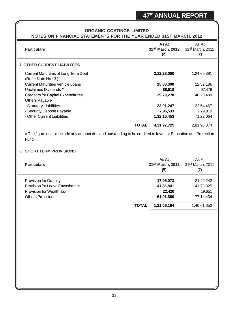# **ORGANIC COATINGS LIMITED NOTES ON FINANCIAL STATEMENTS FOR THE YEAR ENDED 31ST MARCH, 2012**

| <b>Particulars</b>                                                                                                      |              | As At<br>31st March, 2012<br>(5) | As At<br>31st March, 2011<br>(₹)                  |
|-------------------------------------------------------------------------------------------------------------------------|--------------|----------------------------------|---------------------------------------------------|
| <b>7. OTHER CURRENT LIABILITIES</b>                                                                                     |              |                                  |                                                   |
| <b>Current Maturities of Long Term Debt</b><br>(Refer Note No: 3)                                                       |              | 2,12,28,000                      | 1,24,69,891                                       |
| <b>Current Maturities Vehicle Loans</b>                                                                                 |              | 15,88,300                        | 12,52,186                                         |
| Unclaimed Dividends #                                                                                                   |              | 88,918                           | 97,476                                            |
| <b>Creditors for Capital Expenditures</b>                                                                               |              | 39,79,278                        | 40,20,480                                         |
| Others Payable                                                                                                          |              |                                  |                                                   |
| - Statutory Liabilities                                                                                                 |              | 23,01,247                        | 22,54,467                                         |
| - Security Deposit Payable<br>- Other Current Liabilities                                                               |              | 7,95,533                         | 9,79,810                                          |
|                                                                                                                         |              | 1,32,16,453                      | 71,22,064                                         |
|                                                                                                                         | <b>TOTAL</b> | 4,31,97,729                      | 2,81,96,374                                       |
| # The figure do not include any amount due and outstanding to be credited to Investor Education and Protection<br>Fund. |              |                                  |                                                   |
| 8. SHORT TERM PROVISIONS                                                                                                |              |                                  |                                                   |
| <b>Particulars</b>                                                                                                      |              | As At<br>31st March, 2012<br>(5) | As At<br>31st March, 2011<br>$(\overline{\zeta})$ |
| <b>Provision for Gratuity</b>                                                                                           |              | 17,95,073                        | 21,49,242                                         |
| <b>Provision for Leave Encashment</b>                                                                                   |              | 41,86,841                        | 41,78,325                                         |
| <b>Provision for Wealth Tax</b>                                                                                         |              | 22,420                           | 19,651                                            |
| <b>Others Provisions</b>                                                                                                |              | 61,01,860                        | 77, 14, 434                                       |
|                                                                                                                         | <b>TOTAL</b> | 1,21,06,194                      | 1,40,61,652                                       |
|                                                                                                                         |              |                                  |                                                   |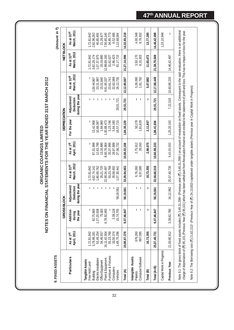| 9. FIXED ASSETS                                                                                                                                                                                                                                                                                                                                                                                                              |                          |                                          |                                            |                           |                          |                       |                                             |                                       |                                       | (Amount in ₹)             |
|------------------------------------------------------------------------------------------------------------------------------------------------------------------------------------------------------------------------------------------------------------------------------------------------------------------------------------------------------------------------------------------------------------------------------|--------------------------|------------------------------------------|--------------------------------------------|---------------------------|--------------------------|-----------------------|---------------------------------------------|---------------------------------------|---------------------------------------|---------------------------|
|                                                                                                                                                                                                                                                                                                                                                                                                                              |                          | <b>GROSSBLOCK</b>                        |                                            |                           |                          | <b>DEPRECIATION</b>   |                                             |                                       | <b>NETBLOCK</b>                       |                           |
| <b>Particulars</b>                                                                                                                                                                                                                                                                                                                                                                                                           | April, 2011<br>As at 1st | Addition<br>the year<br>during           | during the year<br>Adjustment<br>Deduction | March, 2012<br>As at 31st | April, 2011<br>As at 1st | For the year          | during the year<br>Adjustment/<br>Deduction | March, 2012<br>As at 31 <sup>st</sup> | March, 2012<br>As at 31 <sup>st</sup> | March, 2011<br>As at 31st |
| Tangible Assets<br>Free Hold Land                                                                                                                                                                                                                                                                                                                                                                                            | 1,72,81,842              |                                          |                                            | 1,72,81,842               |                          |                       |                                             |                                       | 1,72,81,842                           | 1,72,81,842               |
| Building                                                                                                                                                                                                                                                                                                                                                                                                                     | 3,79,98,281              | 82,75,860                                | $\mathbf{I}$                               | 4,62,74,141               | 87,01,999                | 13,42,968             |                                             | 1,00,44,967                           | 3,62,29,174                           | 2,92,96,282               |
| Electric Installation<br>Office Equipment                                                                                                                                                                                                                                                                                                                                                                                    | 53,49,254<br>34,46,557   | 1,27,20,508<br>75,163                    | л.<br>$\overline{1}$                       | 35,21,720<br>1,80,69,762  | 12,63,799<br>13,16,880   | 1,84,960<br>10,68,087 |                                             | 15,01,840<br>23,31,887                | 1,57,37,875<br>20,19,880              | 40,85,455<br>21,29,677    |
| Plant & Equipment                                                                                                                                                                                                                                                                                                                                                                                                            | 16, 11, 42, 004          | 6,78,92,493                              | $\ddot{\phantom{1}}$                       | 22,90,34,497              | 8,60,76,864              | 1,30,88,473           |                                             | 9,91,65,337                           | 12,98,69,160                          | 7,50,65,140               |
| Furniture & Fixtures                                                                                                                                                                                                                                                                                                                                                                                                         | 55,23,768                |                                          |                                            | 55,23,768                 | 20,37,995                | 3,23,746              |                                             | 23,61,741                             | 31,62,027                             | 34,85,773                 |
| Computers<br>Vehicles                                                                                                                                                                                                                                                                                                                                                                                                        | 33,50,374<br>1,49,75,296 | 2,08,118<br>15,74,705                    | 19,19,561                                  | 35,58,492<br>1,07,30,441  | 26,97,889<br>37,06,732   | 5,64,180<br>18,57,715 | 29,51,721                                   | 32,62,069<br>26,12,726                | 2,96,423<br>81,17,715                 | 6,52,485<br>1,12,68,564   |
| Total (A)                                                                                                                                                                                                                                                                                                                                                                                                                    | 24,90,67,376             | 9,07,46,847                              | 58, 19, 561                                | 33,39,94,663              | 10,58,02,158             | 1,84,30,129           | 29,51,721                                   | 12,12,80,567                          | 21,27,14,096                          | 14,32,65,218              |
| Intangible Assets<br>Computer Software<br>Patents                                                                                                                                                                                                                                                                                                                                                                            | 676,260<br>997,095       | $\mathbf{I}$<br>$\overline{\phantom{a}}$ | $\mathbf{I}$                               | 6,76,260<br>9,97,095      | 20,163<br>2,75,912       | 50,178<br>1,61,629    | $\mathbf{I}$<br>J.                          | 3,26,090<br>1,81,792                  | 3,50,170<br>8,15,303                  | 4,00,348<br>9,76,932      |
| Total (B)                                                                                                                                                                                                                                                                                                                                                                                                                    | 16,73,355                | $\mathbf{I}$                             | 1                                          | 16,73,355                 | 2,96,075                 | 2,11,807              | -                                           | 5,07,882                              | 11,65,473                             | 13,77,280                 |
| Total (A+B)                                                                                                                                                                                                                                                                                                                                                                                                                  | 25,07,40,731             | 9,07,46,847                              | 58, 19, 561                                | 33,56,68,018              | 10,60,98,233             | 1,86,41,936           | 29,51,721                                   | 12, 17, 88, 449                       | 21,38,79,569                          | 14,46,42,498              |
| Capital Work in Progress                                                                                                                                                                                                                                                                                                                                                                                                     |                          |                                          |                                            |                           |                          |                       |                                             |                                       |                                       | 1,23,10,948               |
| Previous Year                                                                                                                                                                                                                                                                                                                                                                                                                | 21,83,90,912             | 3,39,62,780                              | 6,12,962                                   | 25,07,40,730              | 9,43,00,650              | 1,25,20,102           | 7,22,519                                    | 10,60,98,233                          | 14,46,42,497                          |                           |
| charge of depreciation of (₹) 95,101 (Previous Year (₹) 95,101) which has been withdrawn from Revaluation Reserve and credited to the statement of profit and loss. This has no impact on loss for the year.<br>Note 9.1: The gross block of fixed assets includes (₹) 3,49,31,299/- (Previous year (₹) 3,49,31,299/-) on account of revaluation on fixed assets. Consequent to the said revaluation, there is an additional |                          |                                          |                                            |                           |                          |                       |                                             |                                       |                                       |                           |
| Note 9.2: The Borrowing cost (₹) 21,62,212/- (Previous Year of (₹) 24,13,002/-capitalised under tangible assets (Previous year in Capital Work in Progress)                                                                                                                                                                                                                                                                  |                          |                                          |                                            |                           |                          |                       |                                             |                                       |                                       |                           |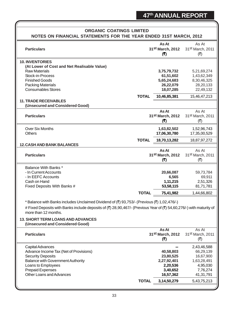# **ORGANIC COATINGS LIMITED NOTES ON FINANCIAL STATEMENTS FOR THE YEAR ENDED 31ST MARCH, 2012 As At** As At **Particulars Particulars Particulars Particulars 31st March, 2012** 31st March, 2011 **(そ)** (そ) **10. INVENTORIES (At Lower of Cost and Net Realisable Value)** Raw Materials **3,75,79,732** 5,21,69,274 Stock-in-Process **61,51,602** 1,43,62,349<br>
Finished Goods 8.30.46.325 Finished Goods **5,65,24,683** 8,30,46,325 Packing Materials **26,22,079** 28,20,133 Consumables Stores **18,07,285** 22,49,132  **TOTAL 10,46,85,381** 15,46,47,213 **11. TRADE RECEIVABLES (Unsecured and Considered Good) As At** As At<br>**As At** As At Alarch, 2012 31st March, 2011 **Particulars 31st March, 2012** 31st March, 2011 **(₹)** (₹) Over Six Months **1,63,82,502** 1,52,96,743 Others **17,06,30,780** 17,35,00,529  **TOTAL 18,70,13,282** 18,87,97,272 **12.CASH AND BANK BALANCES As At** As At **Particulars Particulars Particulars Particulars 31st March, 2012** 31st March, 2011 **(₹)** (₹) Balance With Banks \* - In Current Accounts **20,66,087** 59,73,784 - In EEFC Accounts **6,565** 69,911 Cash on Hand **1,11,215** 2,51,326 Fixed Deposits With Banks # **53,58,115** 81,71,781  **TOTAL 75,41,982** 1,44,66,802 \* Balance with Banks includes Unclaimed Dividend of ( $\bar{z}$ ) 93,753/- (Previous ( $\bar{z}$ ) 1,02,476/-) # Fixed Deposits with Banks include deposits of (₹) 28,90,467/- (Previous Year of (₹) 54,60,276/-) with maturity of more than 12 months. **13. SHORT TERM LOANS AND ADVANCES (Unsecured and Considered Good) As At** As At **Particulars 31st March, 2012** 31st March, 2012 31st March, 2011 **(₹)** (₹) Capital Advances **---** 2,43,46,588 Advance Income Tax (Net of Provisions) **40,58,803** 66,29,139 Security Deposits **23,80,525** 16,67,900 Balance with Government Authority **2,27,92,401** 1,63,28,491 Loans to Employees **2,20,536** 4,95,030 Prepaid Expenses **3,40,652** 7,76,274 Other Loans and Advances **16,57,362** 41,31,791  **TOTAL 3,14,50,279** 5,43,75,213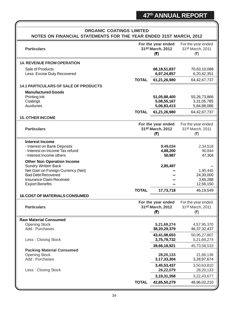| <b>ORGANIC COATINGS LIMITED</b>                                                                                                                                                          |              |                                                            |                                                            |  |  |  |
|------------------------------------------------------------------------------------------------------------------------------------------------------------------------------------------|--------------|------------------------------------------------------------|------------------------------------------------------------|--|--|--|
| NOTES ON FINANCIAL STATEMENTS FOR THE YEAR ENDED 31ST MARCH, 2012                                                                                                                        |              |                                                            |                                                            |  |  |  |
| <b>Particulars</b>                                                                                                                                                                       |              | For the year ended<br>31st March, 2012<br>(5)              | For the year ended<br>31 <sup>st</sup> March, 2011<br>(₹)  |  |  |  |
| <b>14. REVENUE FROM OPERATION</b>                                                                                                                                                        |              |                                                            |                                                            |  |  |  |
| Sale of Products<br>Less: Excise Duty Recovered                                                                                                                                          |              | 68, 18, 51, 837<br>6,97,24,857                             | 70,63,10,088<br>6,20,42,351                                |  |  |  |
| <b>14.1 PARTICULARS OF SALE OF PRODUCTS</b>                                                                                                                                              | <b>TOTAL</b> | 61,21,26,980                                               | 64,42,67,737                                               |  |  |  |
| <b>Manufactured Goods</b><br>Printing Ink<br>Coatings<br><b>Auxiluries</b>                                                                                                               | <b>TOTAL</b> | 51,05,88,400<br>5,08,55,167<br>5,06,83,413<br>61,21,26,980 | 55,26,73,866<br>3,31,05,785<br>5,84,88,086<br>64,42,67,737 |  |  |  |
| <b>15. OTHER INCOME</b>                                                                                                                                                                  |              |                                                            |                                                            |  |  |  |
| <b>Particulars</b>                                                                                                                                                                       |              | For the year ended<br>31st March, 2012<br>(₹)              | For the year ended<br>31st March, 2011<br>(₹)              |  |  |  |
| <b>Interest Income</b><br>- Interest on Bank Deposits<br>- Interest on Income Tax refund<br>- Interest Income others                                                                     |              | 9,49,034<br>4,88,200<br>50,987                             | 2,34,518<br>90,844<br>47,304                               |  |  |  |
| <b>Other Non Operation Income</b><br><b>Sundry Written Back</b><br>Net Gain on Foreign Currency (Net)<br><b>Bad Debt Recovered</b><br>Insurance Claim Received<br><b>Export Benefits</b> |              | 2,85,497                                                   | 1,95,445<br>24,30,000<br>3,65,288<br>12,56,150             |  |  |  |
| <b>16. COST OF MATERIALS CONSUMED</b>                                                                                                                                                    | <b>TOTAL</b> | 17,73,718                                                  | 46,19,549                                                  |  |  |  |
| <b>Particulars</b>                                                                                                                                                                       |              | For the year ended<br>31st March, 2012<br>(5)              | For the year ended<br>31st March, 2011<br>(₹)              |  |  |  |
| <b>Raw Material Consumed</b>                                                                                                                                                             |              |                                                            |                                                            |  |  |  |
| <b>Opening Stock</b><br>Add: Purchases                                                                                                                                                   |              | 5,21,69,274<br>38,20,29,379                                | 4,57,95,370<br>46, 37, 32, 437                             |  |  |  |
| Less: Closing Stock                                                                                                                                                                      |              | 43,41,98,653<br>3,75,79,732                                | 50,95,27,807<br>5,21,69,274                                |  |  |  |
| <b>Packing Material Consumed</b><br><b>Opening Stock</b><br>Add: Purchases                                                                                                               |              | 39,66,18,921<br>28,20,133<br>3, 17, 33, 304                | 45,73,58,533<br>21,66,136<br>3,28,97,674                   |  |  |  |
| Less: Closing Stock                                                                                                                                                                      |              | 3,45,53,437<br>26,22,079                                   | 3,50,63,810<br>28,20,133                                   |  |  |  |
|                                                                                                                                                                                          |              | 3, 19, 31, 358                                             | 3,22,43,677                                                |  |  |  |
|                                                                                                                                                                                          | <b>TOTAL</b> | 42,85,50,279                                               | 48,96,02,210                                               |  |  |  |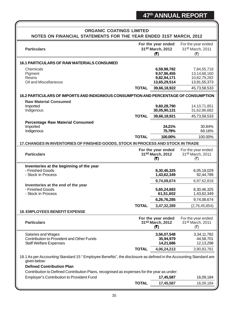| <b>ORGANIC COATINGS LIMITED</b>                                                                                                                                                                                                                                   |              |                                                           |                                                                                 |  |
|-------------------------------------------------------------------------------------------------------------------------------------------------------------------------------------------------------------------------------------------------------------------|--------------|-----------------------------------------------------------|---------------------------------------------------------------------------------|--|
| NOTES ON FINANCIAL STATEMENTS FOR THE YEAR ENDED 31ST MARCH, 2012                                                                                                                                                                                                 |              |                                                           |                                                                                 |  |
| <b>Particulars</b>                                                                                                                                                                                                                                                |              | For the year ended<br>31st March, 2012<br>(5)             | For the year ended<br>31 <sup>st</sup> March, 2011<br>$(\overline{\mathbf{z}})$ |  |
| 16.1 PARTICULARS OF RAW MATERIALS CONSUMED                                                                                                                                                                                                                        |              |                                                           |                                                                                 |  |
| Chemicals<br>Pigment<br><b>Resins</b><br>Oil and Miscellaneous                                                                                                                                                                                                    |              | 6,59,98,782<br>9,57,96,455<br>9,82,94,171<br>13,65,29,514 | 7,84,55,718<br>13, 14, 68, 160<br>10,82,79,282<br>13,91,55,373                  |  |
|                                                                                                                                                                                                                                                                   | <b>TOTAL</b> | 39,66,18,922                                              | 45,73,58,533                                                                    |  |
| 16.2 PARTICULARS OF IMPORTS AND INDIGINIOUS CONSUMPTION AND PERCENTAGE OF CONSUMPTION                                                                                                                                                                             |              |                                                           |                                                                                 |  |
| <b>Raw Material Consumed</b><br>Imported<br>Indigenous                                                                                                                                                                                                            | <b>TOTAL</b> | 9,60,28,790<br>30,05,90,131<br>39,66,18,921               | 14, 10, 71, 851<br>31,62,86,682<br>45,73,58,533                                 |  |
| <b>Percentage Raw Material Consumed</b>                                                                                                                                                                                                                           |              |                                                           |                                                                                 |  |
| Imported<br>Indigenous                                                                                                                                                                                                                                            |              | 24.21%<br>75.79%                                          | 30.84%<br>69.16%                                                                |  |
|                                                                                                                                                                                                                                                                   | <b>TOTAL</b> | 100.00%                                                   | 100.00%                                                                         |  |
| 17. CHANGES IN INVENTORIES OF FINISHED GOODS, STOCK IN PROCESS AND STOCK IN TRADE                                                                                                                                                                                 |              |                                                           |                                                                                 |  |
| <b>Particulars</b>                                                                                                                                                                                                                                                |              | For the year ended<br>31st March, 2012<br>(₹)             | For the year ended<br>31st March, 2011<br>$(\overline{\mathbf{x}})$             |  |
| Inventories at the beginning of the year<br>- Finished Goods<br>- Stock in Process                                                                                                                                                                                |              | 8,30,46,325<br>1,43,62,349                                | 6,05,18,029<br>92,44,789                                                        |  |
| Inventories at the end of the year<br>- Finished Goods                                                                                                                                                                                                            |              | 9,74,08,674<br>5,65,24,683                                | 6,97,62,818<br>8,30,46,325                                                      |  |
| - Stock in Process                                                                                                                                                                                                                                                |              | 61,51,602<br>6,26,76,285                                  | 1,43,62,349<br>9,74,08,674                                                      |  |
|                                                                                                                                                                                                                                                                   | <b>TOTAL</b> | 3,47,32,389                                               | (2,76,45,854)                                                                   |  |
| <b>18. EMPLOYEES BENEFIT EXPENSE</b>                                                                                                                                                                                                                              |              |                                                           |                                                                                 |  |
| <b>Particulars</b>                                                                                                                                                                                                                                                |              | For the year ended<br>31st March, 2012<br>(3)             | For the year ended<br>31 <sup>st</sup> March, 2011<br>(रै)                      |  |
| Salaries and Wages<br>Contribution to Provident and Other Funds<br><b>Staff Welfare Expenses</b>                                                                                                                                                                  |              | 3,56,07,548<br>35,94,979<br>14,21,686                     | 3,34,11,782<br>44,58,701<br>12,13,298                                           |  |
|                                                                                                                                                                                                                                                                   | <b>TOTAL</b> | 4,06,24,213                                               | 3,90,83,781                                                                     |  |
| 18.1 As per Accounting Standard 15 "Employee Benefits", the disclosure as defined in the Accounting Standard are<br>given below:<br><b>Defined Contribution Plan</b><br>Contribution to Defined Contribution Plans, recognised as expenses for the year as under: |              |                                                           |                                                                                 |  |
| <b>Employer's Contribution to Provident Fund</b>                                                                                                                                                                                                                  |              | 17,45,587                                                 | 16,09,184                                                                       |  |
|                                                                                                                                                                                                                                                                   | <b>TOTAL</b> | 17,45,587                                                 | 16,09,184                                                                       |  |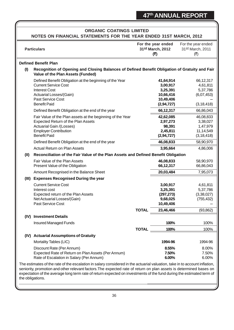|       | <b>ORGANIC COATINGS LIMITED</b><br>NOTES ON FINANCIAL STATEMENTS FOR THE YEAR ENDED 31ST MARCH, 2012                                                                                       |              |                                                                           |                                                                 |  |
|-------|--------------------------------------------------------------------------------------------------------------------------------------------------------------------------------------------|--------------|---------------------------------------------------------------------------|-----------------------------------------------------------------|--|
|       | <b>Particulars</b>                                                                                                                                                                         |              | For the year ended<br>31st March, 2012<br>(5)                             | For the year ended<br>31st March, 2011<br>(₹)                   |  |
|       | <b>Defined Benefit Plan</b>                                                                                                                                                                |              |                                                                           |                                                                 |  |
| (1)   | Recognition of Opening and Closing Balances of Defined Benefit Obligation of Gratuity and Fair<br>Value of the Plan Assets (Funded)                                                        |              |                                                                           |                                                                 |  |
|       | Defined Benefit Obligation at the beginning of the Year<br><b>Current Service Cost</b><br><b>Interest Cost</b><br>Actuarial Losses/(Gain)<br>Past Service Cost<br><b>Benefit Paid</b>      |              | 41,64,914<br>3,00,917<br>3,25,391<br>10,66,416<br>10,49,406<br>(2,94,727) | 66,12,317<br>4,61,811<br>5,37,786<br>(6,07,453)<br>(3, 18, 418) |  |
|       | Defined Benefit Obligation at the end of the year                                                                                                                                          |              | 66,12,317                                                                 | 66,86,043                                                       |  |
|       | Fair Value of the Plan assets at the beginning of the Year<br><b>Expected Return of the Plan Assets</b><br>Actuarial Gain /(Losses)<br><b>Employer Contribution</b><br><b>Benefit Paid</b> |              | 42,62,085<br>2,97,273<br>98,391<br>2,45,811<br>(2,94,727)                 | 46,08,833<br>3,38,027<br>1,47,979<br>11,14,549<br>(3, 18, 418)  |  |
|       | Defined Benefit Obligation at the end of the year                                                                                                                                          |              | 46,08,833                                                                 | 58,90,970                                                       |  |
|       | Actual Return on Plan Assets                                                                                                                                                               |              | 3,95,664                                                                  | 4,86,006                                                        |  |
| (II)  | Reconciliation of the Fair Value of the Plan Assets and Defined Benefit Obligation                                                                                                         |              |                                                                           |                                                                 |  |
|       | Fair Value of the Plan Assets<br>Present Value of the Obligation                                                                                                                           |              | 46,08,833<br>66,12,317                                                    | 58,90,970<br>66,86,043                                          |  |
|       | Amount Recognised in the Balance Sheet                                                                                                                                                     |              | 20,03,484                                                                 | 7,95,073                                                        |  |
| (III) | <b>Expenses Recognised During the year</b>                                                                                                                                                 |              |                                                                           |                                                                 |  |
|       | <b>Current Service Cost</b><br>Interest cost<br>Expected return of the Plan Assets<br>Net Actuarial Losses/(Gain)<br>Past Service Cost                                                     | <b>TOTAL</b> | 3,00,917<br>3,25,391<br>(297, 273)<br>9,68,025<br>10,49,406<br>23,46,466  | 4,61,811<br>5,37,786<br>(3,38,027)<br>(755, 432)<br>(93, 862)   |  |
|       | (IV) Investment Details                                                                                                                                                                    |              |                                                                           |                                                                 |  |
|       | <b>Insured Managed Funds</b>                                                                                                                                                               |              | 100%                                                                      | 100%                                                            |  |
|       |                                                                                                                                                                                            | <b>TOTAL</b> | 100%                                                                      | 100%                                                            |  |
| (IV)  | <b>Actuarial Assumptions of Gratuity</b>                                                                                                                                                   |              |                                                                           |                                                                 |  |
|       | Mortality Tables (LIC)                                                                                                                                                                     |              | 1994-96                                                                   | 1994-96                                                         |  |
|       | Discount Rate (Per Annum)<br>Expected Rate of Return on Plan Assets (Per Annum)<br>Rate of Escalation in Salary (Per Annum)                                                                |              | 8.55%<br>7.50%<br>6.00%                                                   | 8.00%<br>7.50%<br>6.00%                                         |  |
|       | The estimates of the rate of the escalation in salary considered in the actuarial valuation, take in to account inflation,                                                                 |              |                                                                           |                                                                 |  |

seniority, promotion and other relevant factors.The expected rate of return on plan assets is determined bases on expectation of the average long term rate of return expected on investments of the fund during the estimated term of the obligations.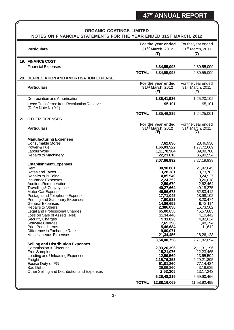| <b>ORGANIC COATINGS LIMITED</b> |                                                                          |              |                                                           |                                                            |  |
|---------------------------------|--------------------------------------------------------------------------|--------------|-----------------------------------------------------------|------------------------------------------------------------|--|
|                                 | NOTES ON FINANCIAL STATEMENTS FOR THE YEAR ENDED 31ST MARCH, 2012        |              |                                                           |                                                            |  |
|                                 | <b>Particulars</b>                                                       |              | For the year ended<br>31st March, 2012<br>(₹)             | For the year ended<br>31 <sup>st</sup> March, 2011<br>(₹)  |  |
|                                 | <b>19. FINANCE COST</b>                                                  |              |                                                           |                                                            |  |
|                                 | <b>Financial Expenses</b>                                                |              | 3,84,55,098                                               | 2,30,55,009                                                |  |
|                                 |                                                                          | <b>TOTAL</b> | 3,84,55,098                                               | 2,30,55,009                                                |  |
|                                 | 20. DEPRECIATION AND AMORTISATION EXPENSE                                |              |                                                           |                                                            |  |
|                                 | <b>Particulars</b>                                                       |              | For the year ended<br>31 <sup>st</sup> March, 2012<br>(5) | For the year ended<br>31 <sup>st</sup> March, 2011<br>(रै) |  |
|                                 | Depreciation and Amortisation                                            |              | 1,86,41,936                                               | 1,25,20,102                                                |  |
|                                 | <b>Less: Transferred from Revaluation Reserve</b><br>(Refer Note No 9.1) |              | 95,101                                                    | 95,101                                                     |  |
|                                 |                                                                          | <b>TOTAL</b> | 1,85,46,835                                               | 1,24,25,001                                                |  |
| 21.                             | <b>OTHER EXPENSES</b>                                                    |              |                                                           |                                                            |  |
|                                 | <b>Particulars</b>                                                       |              | For the year ended<br>31 <sup>st</sup> March, 2012<br>(5) | For the year ended<br>31 <sup>st</sup> March, 2011<br>(₹)  |  |
|                                 | <b>Manufacturing Expenses</b>                                            |              |                                                           |                                                            |  |
|                                 | <b>Consumable Stores</b><br>Power & Fuel                                 |              | 7,62,896<br>1,66,03,522                                   | 23,46,936<br>1,77,72,669                                   |  |
|                                 | Labour Work                                                              |              | 1,11,78,964                                               | 89,09,780                                                  |  |
|                                 | Repairs to Machinery                                                     |              | 22,21,610                                                 | 36,90,554                                                  |  |
|                                 | <b>Establishment Expenses</b>                                            |              | 3,07,66,992                                               | 3,27,19,939                                                |  |
|                                 | Rent                                                                     |              | 30,90,861                                                 | 21,92,645                                                  |  |
|                                 | <b>Rates and Taxes</b>                                                   |              | 3,28,381                                                  | 3,73,783                                                   |  |
|                                 | Repairs to Building<br>Insurance Expenses                                |              | 14,85,549<br>12,24,252                                    | 3,24,927<br>9,26,018                                       |  |
|                                 | <b>Auditors Remuneration</b>                                             |              | 2,59,670                                                  | 2,62,464                                                   |  |
|                                 | Travelling & Conveyance<br>Motor Car Expenses                            |              | 40,27,664<br>46,56,673                                    | 49,18,275<br>52,83,412                                     |  |
|                                 | Postage and Telephone Expenses                                           |              | 17,71,045                                                 | 18,98,102                                                  |  |
|                                 | Printing and Stationary Expenses                                         |              | 7,90,533                                                  | 8,20,474                                                   |  |
|                                 | General Expenses<br><b>Repairs to Others</b>                             |              | 14,86,659<br>2,386,038                                    | 9,72,114<br>16,73,502                                      |  |
|                                 | Legal and Professional Charges                                           |              | 65,00,658                                                 | 46,57,883                                                  |  |
|                                 | Loss on Sale of Assets (Net)                                             |              | 11,34,446                                                 | 4,10,442                                                   |  |
|                                 | <b>Security Charges</b><br>Software Charges                              |              | 9,11,820<br>17,65,298                                     | 4,82,024<br>1,48,294                                       |  |
|                                 | Prior Period Items                                                       |              | 5,46,684                                                  | 11,612                                                     |  |
|                                 | Difference in Exchange Rate                                              |              | 9,00,071<br>21,34,456                                     |                                                            |  |
|                                 | Miscellaneous Expenses                                                   |              | 3,54,00,758                                               | 18,26,123<br>2,71,82,094                                   |  |
|                                 | <b>Selling and Distribution Expenses</b>                                 |              |                                                           |                                                            |  |
|                                 | <b>Commission &amp; Discount</b><br><b>Free Samples</b>                  |              | 2,93,26,396<br>15,21,076                                  | 2,11,31,196<br>12,23,465                                   |  |
|                                 | Loading and Unloading Expenses                                           |              | 12,59,569                                                 | 13,65,594                                                  |  |
|                                 | Freight<br>Excise Duty of FG                                             |              | 2, 15, 76, 353                                            | 2,29,21,895                                                |  |
|                                 | <b>Bad Debts</b>                                                         |              | 61,01,860<br>26,09,860                                    | 77,14,434<br>3,16,639                                      |  |
|                                 | Other Selling and Distribution and Expenses                              |              | 2,53,205                                                  | 13, 17, 243                                                |  |
|                                 |                                                                          |              | 6,26,48,319                                               | 5,59,90,466                                                |  |
|                                 |                                                                          | <b>TOTAL</b> | 12,88,16,069                                              | 11,58,92,499                                               |  |
|                                 |                                                                          |              |                                                           |                                                            |  |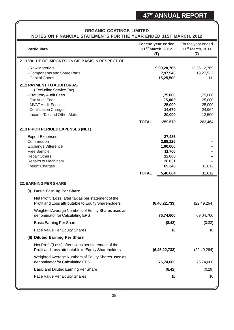| <b>ORGANIC COATINGS LIMITED</b><br>NOTES ON FINANCIAL STATEMENTS FOR THE YEAR ENDED 31ST MARCH, 2012                                                                                        |                                               |                                                                        |                                                             |  |  |
|---------------------------------------------------------------------------------------------------------------------------------------------------------------------------------------------|-----------------------------------------------|------------------------------------------------------------------------|-------------------------------------------------------------|--|--|
| <b>Particulars</b>                                                                                                                                                                          | For the year ended<br>31st March, 2012<br>(5) |                                                                        | For the year ended<br>31st March, 2011<br>(₹)               |  |  |
| 21.1 VALUE OF IMPORTS ON CIF BASIS IN RESPECT OF                                                                                                                                            |                                               |                                                                        |                                                             |  |  |
| - Raw Materials<br>- Components and Spare Parts<br>- Capital Goods                                                                                                                          |                                               | 9,90,28,765<br>7,97,543<br>15,25,500                                   | 13,36,12,769<br>19,27,522<br>Nil                            |  |  |
| <b>21.2 PAYMENT TO AUDITOR AS</b><br>(Excluding Service Tax)<br>- Statutory Audit Fees<br>- Tax Audit Fees<br>- MVAT Audit Fees<br>- Certification Charges<br>- Income Tax and Other Matter | <b>TOTAL</b>                                  | 1,75,000<br>25,000<br>25,000<br>14,670<br>20,000<br>259,670            | 1,75,000<br>25,000<br>25,000<br>24,964<br>12,500<br>262,464 |  |  |
| 21.3 PRIOR PERIOED EXPENSES (NET)                                                                                                                                                           |                                               |                                                                        |                                                             |  |  |
| <b>Export Expenses</b><br>Commission<br><b>Exchange Difference</b><br>Free Sample<br><b>Repair Others</b><br>Repairs to Machinery<br><b>Freight Charges</b>                                 |                                               | 37,485<br>2,88,125<br>1,00,000<br>11,700<br>12,000<br>28,031<br>69,343 | 11,612                                                      |  |  |
|                                                                                                                                                                                             | <b>TOTAL</b>                                  | 5,46,684                                                               | 11,612                                                      |  |  |
| <b>22. EARNING PER SHARE</b>                                                                                                                                                                |                                               |                                                                        |                                                             |  |  |
| <b>Basic Earning Per Share</b><br>(I)                                                                                                                                                       |                                               |                                                                        |                                                             |  |  |
| Net Profit/(Loss) after tax as per statement of the<br>Profit and Loss attributable to Equity Shareholders                                                                                  |                                               | (6, 46, 22, 733)                                                       | (22, 49, 264)                                               |  |  |
| Weighted Average Numbers of Equity Shares used as<br>denominator for Calculating EPS                                                                                                        |                                               | 76,74,600                                                              | 69,04,760                                                   |  |  |
| <b>Basic Earning Per Share</b>                                                                                                                                                              |                                               | (8.42)                                                                 | (0.33)                                                      |  |  |
| Face Value Per Equity Shares                                                                                                                                                                |                                               | 10                                                                     | 10                                                          |  |  |
| (II) Diluted Earning Per Share                                                                                                                                                              |                                               |                                                                        |                                                             |  |  |
| Net Profit/(Loss) after tax as per statement of the<br>Profit and Loss attributable to Equity Shareholders                                                                                  |                                               | (6, 46, 22, 733)                                                       | (22, 49, 264)                                               |  |  |
| Weighted Average Numbers of Equity Shares used as<br>denominator for Calculating EPS                                                                                                        |                                               | 76,74,600                                                              | 76,74,600                                                   |  |  |
| Basic and Diluted Earning Per Share                                                                                                                                                         |                                               | (8.42)                                                                 | (0.29)                                                      |  |  |
| Face Value Per Equity Shares                                                                                                                                                                |                                               | 10                                                                     | 10                                                          |  |  |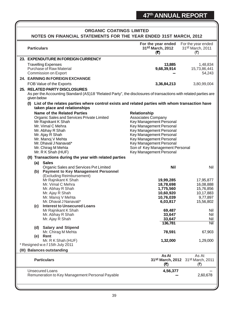| <b>ORGANIC COATINGS LIMITED</b><br>NOTES ON FINANCIAL STATEMENTS FOR THE YEAR ENDED 31ST MARCH, 2012                                                            |                                                    |                                                   |  |  |
|-----------------------------------------------------------------------------------------------------------------------------------------------------------------|----------------------------------------------------|---------------------------------------------------|--|--|
| <b>Particulars</b>                                                                                                                                              | For the year ended<br>31st March, 2012<br>(5)      | For the year ended<br>31st March, 2011<br>(₹)     |  |  |
| 23. EXPENDUTURE IN FOREIGN CURRENCY                                                                                                                             |                                                    |                                                   |  |  |
| <b>Travelling Expenses</b>                                                                                                                                      | 13,885                                             | 1,48,834                                          |  |  |
| <b>Purchase of Raw Material</b>                                                                                                                                 | 9,68,39,914                                        | 15,73,86,441                                      |  |  |
| <b>Commission on Export</b>                                                                                                                                     |                                                    | 54,243                                            |  |  |
| 24. EARNING IN FOREIGN EXCHANGE                                                                                                                                 |                                                    |                                                   |  |  |
| FOB Value of the Exports                                                                                                                                        | 3,36,84,213                                        | 3,80,99,004                                       |  |  |
| 25. RELATED PARTY DISCLOSURES<br>As per the Accounting Standard (AS)18 "Related Party", the disclosures of transactions with related parties are<br>given below |                                                    |                                                   |  |  |
| (I) List of the relates parties where control exists and related parties with whom transaction have<br>taken place and relationships                            |                                                    |                                                   |  |  |
| <b>Name of the Related Parties</b>                                                                                                                              | Relationship                                       |                                                   |  |  |
| Organic Sales and Services Private Limited                                                                                                                      | <b>Associates Company</b>                          |                                                   |  |  |
| Mr Rajnikant K Shah<br>Mr. Vimal C Mehra                                                                                                                        | Key Management Personal                            |                                                   |  |  |
| Mr. Abhay R Shah                                                                                                                                                | Key Management Personal<br>Key Management Personal |                                                   |  |  |
| Mr. Ajay R Shah                                                                                                                                                 | Key Management Personal                            |                                                   |  |  |
| Mr. Manoj V Mehta                                                                                                                                               | Key Management Personal                            |                                                   |  |  |
| Mr. Dhaval J Nanavati*                                                                                                                                          | Key Management Personal                            |                                                   |  |  |
| Mr. Chirag M Mehta                                                                                                                                              | Son of Key Management Personal                     |                                                   |  |  |
| Mr. R K Shah (HUF)                                                                                                                                              | Key Management Personal                            |                                                   |  |  |
| (II) Transactions during the year with related parties                                                                                                          |                                                    |                                                   |  |  |
| <b>Sales</b><br>(a)<br>Organic Sales and Services Pvt Limited                                                                                                   | <b>Nil</b>                                         | Nil                                               |  |  |
| <b>Payment to Key Management Personnel</b><br>(b)                                                                                                               |                                                    |                                                   |  |  |
| (Excluding Reimbursement)                                                                                                                                       |                                                    |                                                   |  |  |
| Mr Rajnikant K Shah                                                                                                                                             | 19,99,285                                          | 17,95,877                                         |  |  |
| Mr. Vimal C Mehra                                                                                                                                               | 18,78,698                                          | 16,08,888                                         |  |  |
| Mr. Abhay R Shah                                                                                                                                                | 1,775,560                                          | 15,76,856                                         |  |  |
| Mr. Ajay R Shah<br>Mr. Manoj V Mehta                                                                                                                            | 10,60,920<br>10,76,039                             | 10,17,883<br>9,77,897                             |  |  |
| Mr. Dhaval J Nanavati*                                                                                                                                          | 6,03,817                                           | 15,56,802                                         |  |  |
| <b>Interest to Unsecured Loans</b><br>(c)                                                                                                                       |                                                    |                                                   |  |  |
| Mr Rajnikant K Shah                                                                                                                                             | 69,487                                             | Nil                                               |  |  |
| Mr. Abhay R Shah                                                                                                                                                | 33,647                                             | Nil                                               |  |  |
| Mr. Ajay R Shah                                                                                                                                                 | 33,647                                             | Nil                                               |  |  |
| <b>Salary and Stipend</b><br>(d)                                                                                                                                | 136,781                                            | Nil                                               |  |  |
| Mr. Chirag M Mehta                                                                                                                                              | 78,591                                             | 67,903                                            |  |  |
| Rent<br>(e)                                                                                                                                                     |                                                    |                                                   |  |  |
| Mr. R K Shah (HUF)                                                                                                                                              | 1,32,000                                           | 1,29,000                                          |  |  |
| * Resigned w.e.f 15th July 2011                                                                                                                                 |                                                    |                                                   |  |  |
| (III) Balances outstanding                                                                                                                                      |                                                    |                                                   |  |  |
| <b>Particulars</b>                                                                                                                                              | As At<br>(5)                                       | As At<br>31st March, 2012 31st March, 2011<br>(₹) |  |  |
| <b>Unsecured Loans</b>                                                                                                                                          | 4,56,377                                           |                                                   |  |  |
| Remuneration to Key Management Personal Payable                                                                                                                 |                                                    | 2,60,678                                          |  |  |
|                                                                                                                                                                 |                                                    |                                                   |  |  |
|                                                                                                                                                                 |                                                    |                                                   |  |  |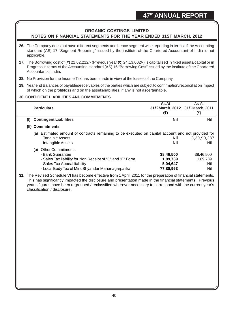## **ORGANIC COATINGS LIMITED NOTES ON FINANCIAL STATEMENTS FOR THE YEAR ENDED 31ST MARCH, 2012**

- **26.** The Company does not have different segments and hence segment wise reporting in terms of the Accounting standard (AS) 17 "Segment Reporting" issued by the institute of the Chartered Accountant of India is not applicable.
- **27.** The Borrowing cost of  $(\bar{\tau})$  21,62,212/- (Previous year  $(\bar{\tau})$  24,13,002/-) is capitalised in fixed assets/capital or in Progress in terms of the Accounting standard (AS) 16 "Borrowing Cost" issued by the institute of the Chartered Accountant of India.
- **28.** No Provision for the Income Tax has been made in view of the losses of the Compnay.
- **29.** Year end Balances of payables/receivables of the parties which are subject to confirmation/reconciliation impact of which on the profit/loss and on the assets/liabilities, if any is not ascertainable.

## **30. CONTIGENT LIABILITIES AND COMMITMENTS**

|     | <b>Particulars</b>                                                                                    | As At<br>31st March, 2012 31st March, 2011<br>(₹) | As At<br>(₹) |
|-----|-------------------------------------------------------------------------------------------------------|---------------------------------------------------|--------------|
| (I) | <b>Contingent Liabilities</b>                                                                         | Nil                                               | Nil          |
|     | (II) Commitments                                                                                      |                                                   |              |
|     | Estimated amount of contracts remaining to be executed on capital account and not provided for<br>(a) |                                                   |              |
|     | - Tangible Assets                                                                                     | Nil                                               | 3,39,90,287  |
|     | - Intangible Assets                                                                                   | Nil                                               | Nil          |
|     | <b>Other Commitments</b><br>(b)                                                                       |                                                   |              |
|     | - Bank Guarantee                                                                                      | 38,46,500                                         | 38,46,500    |
|     | - Sales Tax liability for Non Receipt of "C" and "F" Form                                             | 1,89,739                                          | 1,89,739     |
|     | - Sales Tax Appeal liability                                                                          | 5,04,647                                          | Nil          |
|     | - Local Body Tax of Mira Bhyandar Mahanagarpalika                                                     | 77,80,963                                         | Nil          |

**31.** The Revised Schedule VI has become effective from 1 April, 2011 for the preparation of financial statements. This has significantly impacted the disclosure and presentation made in the financial statements. Previous year's figures have been regrouped / reclassified wherever necessary to correspond with the current year's classification / disclosure.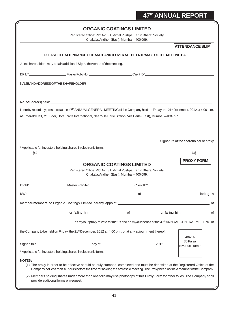|                                                                                                                                                                                                                                                                                                |                                                                                                                                                                                                                                                                                                                                                                                                     | <b>ORGANIC COATINGS LIMITED</b><br>Chakala, Andheri (East), Mumbai - 400 099. | Registered Office: Plot No. 31, Vimal Pushpa, Tarun Bharat Society, |                                       |
|------------------------------------------------------------------------------------------------------------------------------------------------------------------------------------------------------------------------------------------------------------------------------------------------|-----------------------------------------------------------------------------------------------------------------------------------------------------------------------------------------------------------------------------------------------------------------------------------------------------------------------------------------------------------------------------------------------------|-------------------------------------------------------------------------------|---------------------------------------------------------------------|---------------------------------------|
|                                                                                                                                                                                                                                                                                                |                                                                                                                                                                                                                                                                                                                                                                                                     |                                                                               |                                                                     | <b>ATTENDANCE SLIP</b>                |
|                                                                                                                                                                                                                                                                                                | PLEASE FILL ATTENDANCE SLIP AND HAND IT OVER AT THE ENTRANCE OF THE MEETING HALL                                                                                                                                                                                                                                                                                                                    |                                                                               |                                                                     |                                       |
| Joint shareholders may obtain additional Slip at the venue of the meeting.                                                                                                                                                                                                                     |                                                                                                                                                                                                                                                                                                                                                                                                     |                                                                               |                                                                     |                                       |
|                                                                                                                                                                                                                                                                                                |                                                                                                                                                                                                                                                                                                                                                                                                     |                                                                               |                                                                     |                                       |
|                                                                                                                                                                                                                                                                                                |                                                                                                                                                                                                                                                                                                                                                                                                     |                                                                               |                                                                     |                                       |
|                                                                                                                                                                                                                                                                                                |                                                                                                                                                                                                                                                                                                                                                                                                     |                                                                               |                                                                     |                                       |
| I hereby record my presence at the 47 <sup>th</sup> ANNUAL GENERAL MEETING of the Company held on Friday, the 21 <sup>st</sup> December, 2012 at 4.00 p.m.<br>at Emerald Hall, 2 <sup>nd</sup> Floor, Hotel Parle International, Near Vile Parle Station, Vile Parle (East), Mumbai - 400 057. |                                                                                                                                                                                                                                                                                                                                                                                                     |                                                                               |                                                                     |                                       |
| * Applicable for investors holding shares in electronic form.                                                                                                                                                                                                                                  |                                                                                                                                                                                                                                                                                                                                                                                                     |                                                                               |                                                                     | Signature of the shareholder or proxy |
|                                                                                                                                                                                                                                                                                                | *-----------------------------                                                                                                                                                                                                                                                                                                                                                                      | <b>ORGANIC COATINGS LIMITED</b><br>Chakala, Andheri (East), Mumbai - 400 099. | Registered Office: Plot No. 31, Vimal Pushpa, Tarun Bharat Society, | <b>PROXY FORM</b>                     |
|                                                                                                                                                                                                                                                                                                |                                                                                                                                                                                                                                                                                                                                                                                                     |                                                                               |                                                                     |                                       |
|                                                                                                                                                                                                                                                                                                |                                                                                                                                                                                                                                                                                                                                                                                                     |                                                                               |                                                                     |                                       |
|                                                                                                                                                                                                                                                                                                |                                                                                                                                                                                                                                                                                                                                                                                                     |                                                                               |                                                                     | __ of                                 |
|                                                                                                                                                                                                                                                                                                |                                                                                                                                                                                                                                                                                                                                                                                                     |                                                                               |                                                                     |                                       |
|                                                                                                                                                                                                                                                                                                | as my/our proxy to vote for me/us and on my/our behalf at the 47 <sup>th</sup> ANNUAL GENERAL MEETING of                                                                                                                                                                                                                                                                                            |                                                                               |                                                                     |                                       |
| the Company to be held on Friday, the 21 <sup>st</sup> December, 2012 at 4.00 p.m. or at any adjournment thereof.                                                                                                                                                                              |                                                                                                                                                                                                                                                                                                                                                                                                     |                                                                               |                                                                     | Affix a                               |
|                                                                                                                                                                                                                                                                                                |                                                                                                                                                                                                                                                                                                                                                                                                     |                                                                               | .2012.                                                              | 30 Paisa<br>revenue stamp             |
| * Applicable for investors holding shares in electronic form.                                                                                                                                                                                                                                  |                                                                                                                                                                                                                                                                                                                                                                                                     |                                                                               |                                                                     |                                       |
| <b>NOTES:</b><br>provide additional forms on request.                                                                                                                                                                                                                                          | (1) The proxy in order to be effective should be duly stamped, completed and must be deposited at the Registered Office of the<br>Company not less than 48 hours before the time for holding the aforesaid meeting. The Proxy need not be a member of the Company.<br>(2) Members holding shares under more than one folio may use photocopy of this Proxy Form for other folios. The Company shall |                                                                               |                                                                     |                                       |